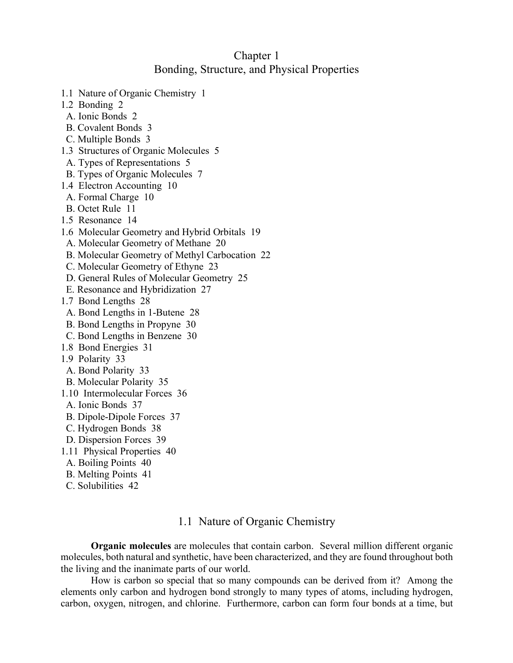# Chapter 1 Bonding, Structure, and Physical Properties

- 1.1 Nature of Organic Chemistry 1
- 1.2 Bonding 2
- A. Ionic Bonds 2
- B. Covalent Bonds 3
- C. Multiple Bonds 3
- 1.3 Structures of Organic Molecules 5
- A. Types of Representations 5
- B. Types of Organic Molecules 7
- 1.4 Electron Accounting 10
- A. Formal Charge 10
- B. Octet Rule 11
- 1.5 Resonance 14
- 1.6 Molecular Geometry and Hybrid Orbitals 19
- A. Molecular Geometry of Methane 20
- B. Molecular Geometry of Methyl Carbocation 22
- C. Molecular Geometry of Ethyne 23
- D. General Rules of Molecular Geometry 25
- E. Resonance and Hybridization 27
- 1.7 Bond Lengths 28
- A. Bond Lengths in 1-Butene 28
- B. Bond Lengths in Propyne 30
- C. Bond Lengths in Benzene 30
- 1.8 Bond Energies 31
- 1.9 Polarity 33
- A. Bond Polarity 33
- B. Molecular Polarity 35
- 1.10 Intermolecular Forces 36
- A. Ionic Bonds 37
- B. Dipole-Dipole Forces 37
- C. Hydrogen Bonds 38
- D. Dispersion Forces 39
- 1.11 Physical Properties 40
- A. Boiling Points 40
- B. Melting Points 41
- C. Solubilities 42

## 1.1 Nature of Organic Chemistry

**Organic molecules** are molecules that contain carbon. Several million different organic molecules, both natural and synthetic, have been characterized, and they are found throughout both the living and the inanimate parts of our world.

How is carbon so special that so many compounds can be derived from it? Among the elements only carbon and hydrogen bond strongly to many types of atoms, including hydrogen, carbon, oxygen, nitrogen, and chlorine. Furthermore, carbon can form four bonds at a time, but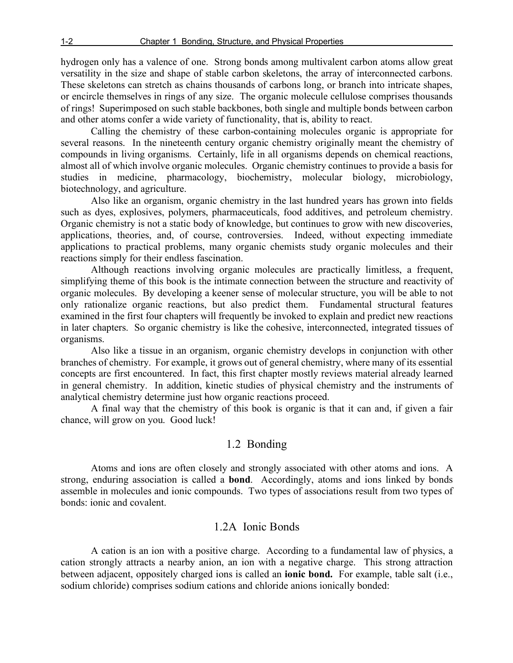hydrogen only has a valence of one. Strong bonds among multivalent carbon atoms allow great versatility in the size and shape of stable carbon skeletons, the array of interconnected carbons. These skeletons can stretch as chains thousands of carbons long, or branch into intricate shapes, or encircle themselves in rings of any size. The organic molecule cellulose comprises thousands of rings! Superimposed on such stable backbones, both single and multiple bonds between carbon and other atoms confer a wide variety of functionality, that is, ability to react.

Calling the chemistry of these carbon-containing molecules organic is appropriate for several reasons. In the nineteenth century organic chemistry originally meant the chemistry of compounds in living organisms. Certainly, life in all organisms depends on chemical reactions, almost all of which involve organic molecules. Organic chemistry continues to provide a basis for studies in medicine, pharmacology, biochemistry, molecular biology, microbiology, biotechnology, and agriculture.

Also like an organism, organic chemistry in the last hundred years has grown into fields such as dyes, explosives, polymers, pharmaceuticals, food additives, and petroleum chemistry. Organic chemistry is not a static body of knowledge, but continues to grow with new discoveries, applications, theories, and, of course, controversies. Indeed, without expecting immediate applications to practical problems, many organic chemists study organic molecules and their reactions simply for their endless fascination.

Although reactions involving organic molecules are practically limitless, a frequent, simplifying theme of this book is the intimate connection between the structure and reactivity of organic molecules. By developing a keener sense of molecular structure, you will be able to not only rationalize organic reactions, but also predict them. Fundamental structural features examined in the first four chapters will frequently be invoked to explain and predict new reactions in later chapters. So organic chemistry is like the cohesive, interconnected, integrated tissues of organisms.

Also like a tissue in an organism, organic chemistry develops in conjunction with other branches of chemistry. For example, it grows out of general chemistry, where many of its essential concepts are first encountered. In fact, this first chapter mostly reviews material already learned in general chemistry. In addition, kinetic studies of physical chemistry and the instruments of analytical chemistry determine just how organic reactions proceed.

A final way that the chemistry of this book is organic is that it can and, if given a fair chance, will grow on you. Good luck!

# 1.2 Bonding

Atoms and ions are often closely and strongly associated with other atoms and ions. A strong, enduring association is called a **bond**. Accordingly, atoms and ions linked by bonds assemble in molecules and ionic compounds. Two types of associations result from two types of bonds: ionic and covalent.

# 1.2A Ionic Bonds

A cation is an ion with a positive charge. According to a fundamental law of physics, a cation strongly attracts a nearby anion, an ion with a negative charge. This strong attraction between adjacent, oppositely charged ions is called an **ionic bond.** For example, table salt (i.e., sodium chloride) comprises sodium cations and chloride anions ionically bonded: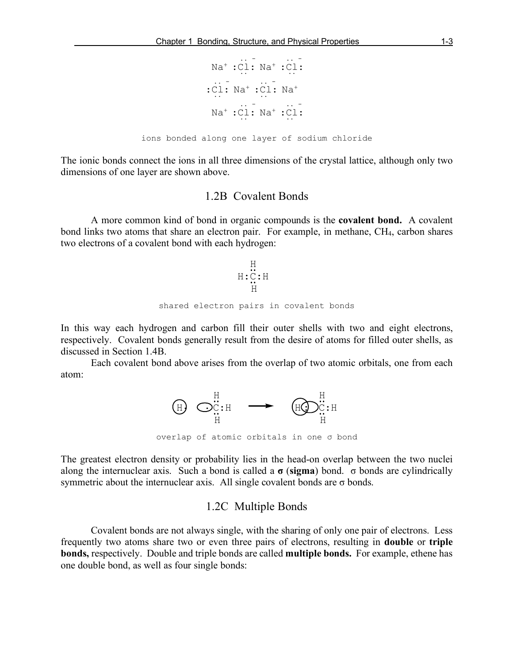$$
Na+:C1: Na+:C1: \n: C1: Na+:C1: Na+ \n: C1: Na+:C1: Na+:C1: \n
$$
Na+:C1: Na+:C1: \n
$$
$$

ions bonded along one layer of sodium chloride

The ionic bonds connect the ions in all three dimensions of the crystal lattice, although only two dimensions of one layer are shown above.

## 1.2B Covalent Bonds

A more common kind of bond in organic compounds is the **covalent bond.** A covalent bond links two atoms that share an electron pair. For example, in methane, CH4, carbon shares two electrons of a covalent bond with each hydrogen:

$$
\begin{array}{c}\n\text{H} \\
\text{H:C:H} \\
\text{H} \\
\text{H} \\
\text{shared electron pairs in covalent bonds}\n\end{array}
$$

In this way each hydrogen and carbon fill their outer shells with two and eight electrons, respectively. Covalent bonds generally result from the desire of atoms for filled outer shells, as discussed in Section 1.4B.

Each covalent bond above arises from the overlap of two atomic orbitals, one from each atom:



overlap of atomic orbitals in one σ bond

The greatest electron density or probability lies in the head-on overlap between the two nuclei along the internuclear axis. Such a bond is called a **σ** (**sigma**) bond. σ bonds are cylindrically symmetric about the internuclear axis. All single covalent bonds are  $\sigma$  bonds.

### 1.2C Multiple Bonds

Covalent bonds are not always single, with the sharing of only one pair of electrons. Less frequently two atoms share two or even three pairs of electrons, resulting in **double** or **triple bonds,** respectively. Double and triple bonds are called **multiple bonds.** For example, ethene has one double bond, as well as four single bonds: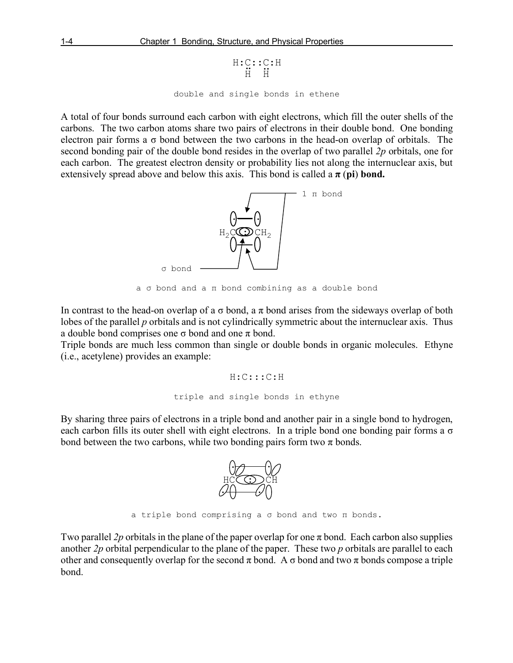```
double and single bonds in ethene
             H:C::C:H<br>H H
```
A total of four bonds surround each carbon with eight electrons, which fill the outer shells of the carbons. The two carbon atoms share two pairs of electrons in their double bond. One bonding electron pair forms a  $\sigma$  bond between the two carbons in the head-on overlap of orbitals. The second bonding pair of the double bond resides in the overlap of two parallel *2p* orbitals, one for each carbon. The greatest electron density or probability lies not along the internuclear axis, but extensively spread above and below this axis. This bond is called a  $\pi$  (**pi**) bond.



a σ bond and a π bond combining as a double bond

In contrast to the head-on overlap of a  $\sigma$  bond, a  $\pi$  bond arises from the sideways overlap of both lobes of the parallel *p* orbitals and is not cylindrically symmetric about the internuclear axis. Thus a double bond comprises one  $\sigma$  bond and one  $\pi$  bond.

Triple bonds are much less common than single or double bonds in organic molecules. Ethyne (i.e., acetylene) provides an example:

> H:C:::C:H triple and single bonds in ethyne

By sharing three pairs of electrons in a triple bond and another pair in a single bond to hydrogen, each carbon fills its outer shell with eight electrons. In a triple bond one bonding pair forms a  $\sigma$ bond between the two carbons, while two bonding pairs form two  $\pi$  bonds.



a triple bond comprising a σ bond and two π bonds.

Two parallel 2p orbitals in the plane of the paper overlap for one  $\pi$  bond. Each carbon also supplies another *2p* orbital perpendicular to the plane of the paper. These two *p* orbitals are parallel to each other and consequently overlap for the second  $\pi$  bond. A  $\sigma$  bond and two  $\pi$  bonds compose a triple bond.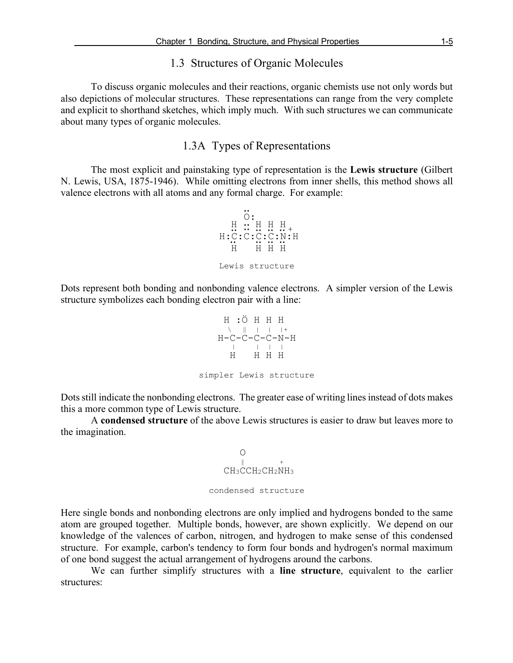# 1.3 Structures of Organic Molecules

To discuss organic molecules and their reactions, organic chemists use not only words but also depictions of molecular structures. These representations can range from the very complete and explicit to shorthand sketches, which imply much. With such structures we can communicate about many types of organic molecules.

## 1.3A Types of Representations

The most explicit and painstaking type of representation is the **Lewis structure** (Gilbert N. Lewis, USA, 1875-1946). While omitting electrons from inner shells, this method shows all valence electrons with all atoms and any formal charge. For example:



Dots represent both bonding and nonbonding valence electrons. A simpler version of the Lewis structure symbolizes each bonding electron pair with a line:

H :Ö H H H H | |+  $H-C-C-C-C-N-H$  H H H H simpler Lewis structure

Dots still indicate the nonbonding electrons. The greater ease of writing lines instead of dots makes this a more common type of Lewis structure.

A **condensed structure** of the above Lewis structures is easier to draw but leaves more to the imagination.

 O ‖ + CH3CCH2CH2NH3 condensed structure

Here single bonds and nonbonding electrons are only implied and hydrogens bonded to the same atom are grouped together. Multiple bonds, however, are shown explicitly. We depend on our knowledge of the valences of carbon, nitrogen, and hydrogen to make sense of this condensed structure. For example, carbon's tendency to form four bonds and hydrogen's normal maximum of one bond suggest the actual arrangement of hydrogens around the carbons.

We can further simplify structures with a **line structure**, equivalent to the earlier structures: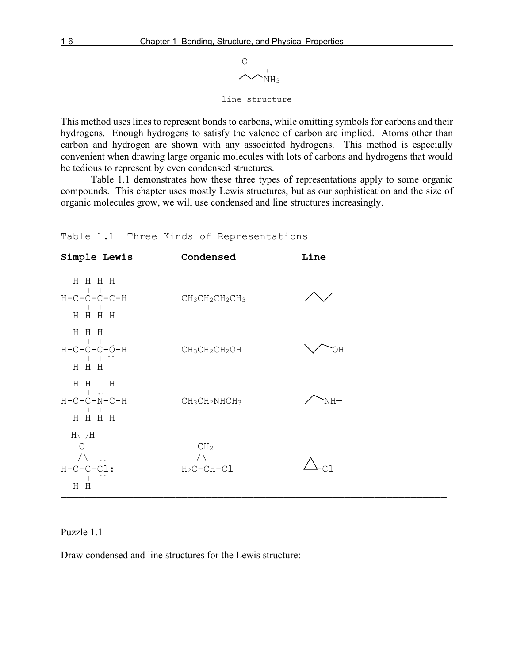

line structure

This method uses lines to represent bonds to carbons, while omitting symbols for carbons and their hydrogens. Enough hydrogens to satisfy the valence of carbon are implied. Atoms other than carbon and hydrogen are shown with any associated hydrogens. This method is especially convenient when drawing large organic molecules with lots of carbons and hydrogens that would be tedious to represent by even condensed structures.

Table 1.1 demonstrates how these three types of representations apply to some organic compounds. This chapter uses mostly Lewis structures, but as our sophistication and the size of organic molecules grow, we will use condensed and line structures increasingly.

| Simple Lewis                                           | Condensed                                                       | Line |
|--------------------------------------------------------|-----------------------------------------------------------------|------|
| HHHH<br>$H-C-C-C-C-H$<br>H H H H                       | CH <sub>3</sub> CH <sub>2</sub> CH <sub>2</sub> CH <sub>3</sub> |      |
| H H H<br>$H-C-C-C-\bullet$ -H<br>H H H                 | $CH3CH2CH2OH$                                                   | ЮH   |
| $H$ $H$ $H$<br>1. 1<br>$H-C-C-N-C-H$<br>HHHH           | $CH_3CH_2NHCH_3$                                                | NH-  |
| $H \setminus H$<br>$\mathsf{C}$<br>$H-C-C-CL$ :<br>H H | CH <sub>2</sub><br>$\bigwedge$<br>$H_2C-CH-Cl$                  |      |

Table 1.1 Three Kinds of Representations

Puzzle  $1.1$  –

Draw condensed and line structures for the Lewis structure: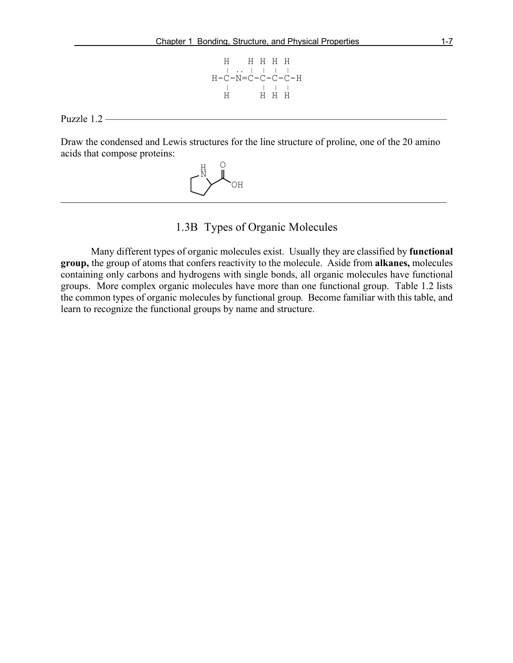H H H H H | .. | | | |  $\begin{array}{cccccccccc} \text{H--C--N}=\text{C--C--C--H} & & & & \\ \text{H} & & & & | & & | & \\ \text{H} & & & \text{H} & \text{H} & \text{H} \end{array}$ H H H H

Puzzle  $1.2$  —

Draw the condensed and Lewis structures for the line structure of proline, one of the 20 amino acids that compose proteins:

 ———————————————————————————————————————————————————————————————— H N OH  $\cap$ 

1.3B Types of Organic Molecules

Many different types of organic molecules exist. Usually they are classified by **functional group,** the group of atoms that confers reactivity to the molecule. Aside from **alkanes,** molecules containing only carbons and hydrogens with single bonds, all organic molecules have functional groups. More complex organic molecules have more than one functional group. Table 1.2 lists the common types of organic molecules by functional group. Become familiar with this table, and learn to recognize the functional groups by name and structure.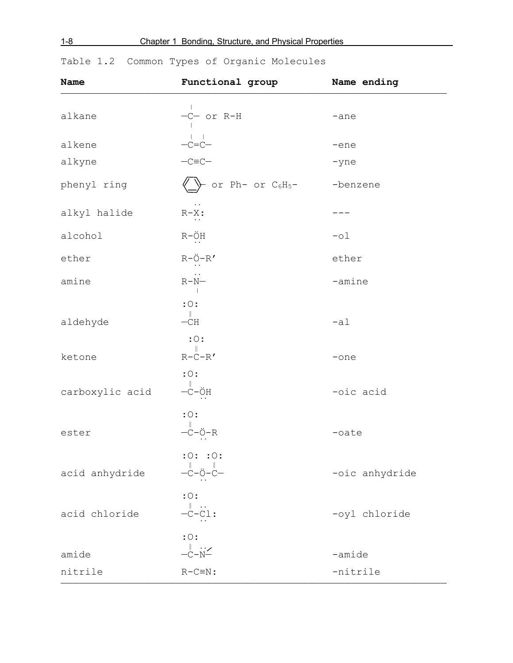1-8 Chapter 1 Bonding, Structure, and Physical Properties

| Name            | Functional group                                                                                                                                                                           | Name ending    |
|-----------------|--------------------------------------------------------------------------------------------------------------------------------------------------------------------------------------------|----------------|
| alkane          | -C- or R-H                                                                                                                                                                                 | -ane           |
| alkene          | $-c=c-\n-c=c-\n-c=c-$                                                                                                                                                                      | -ene           |
| alkyne          |                                                                                                                                                                                            | -yne           |
| phenyl ring     | or $Ph-$ or $C_6H_5-$                                                                                                                                                                      | -benzene       |
| alkyl halide    | $R-X$ :                                                                                                                                                                                    |                |
| alcohol         | $R-\underset{\cdot\cdot\cdot}{\bullet}H$                                                                                                                                                   | $-01$          |
| ether           | $R-\overset{\circ}{\underset{\cdots}{\circ}}-R'$                                                                                                                                           | ether          |
| amine           | $\stackrel{\cdot\cdot}{\mathbb{R}-\mathbb{N}-}$                                                                                                                                            | -amine         |
| aldehyde        | $: \circ$ :<br>$\mathop{ - \mathbb{C} H}^{\parallel}$                                                                                                                                      | $-a1$          |
| ketone          | $: \circ$ :<br>$R-\ddot{C}-R'$                                                                                                                                                             | $-$ one        |
| carboxylic acid | $: \circ$ :<br>$-\overset{\parallel}{\text{C}}-\overset{\bullet}{\text{O}}\text{H}$                                                                                                        | -oic acid      |
| ester           | $: \circ$ :<br>$-\overset{\parallel}{\text{C}}-\overset{\parallel}{\text{O}}-\text{R}$                                                                                                     | $-$ oate       |
| acid anhydride  | :0: :0:<br>$\begin{array}{c} \mathop{\parallel} \\ -\mathop{\mathsf{C}}\nolimits - \mathop{\mathsf{C}}\nolimits - \mathop{\mathsf{C}}\nolimits - \mathop{\mathsf{C}}\nolimits \end{array}$ | -oic anhydride |
| acid chloride   | $: \circ$ :<br>$\stackrel{\parallel}{\mathbf{--C-C1:}}$                                                                                                                                    | -oyl chloride  |
| amide           | $: \circ$ :<br>$\stackrel{\parallel}{\mathop{--}\limits_{\sim}^{~\parallel}}\stackrel{\cdot\cdot\cdot}{\mathop{--}\limits_{\sim}^{~\parallel}}$                                            | $-amide$       |
| nitrile         | $R-C \equiv N$ :                                                                                                                                                                           | -nitrile       |

Table 1.2 Common Types of Organic Molecules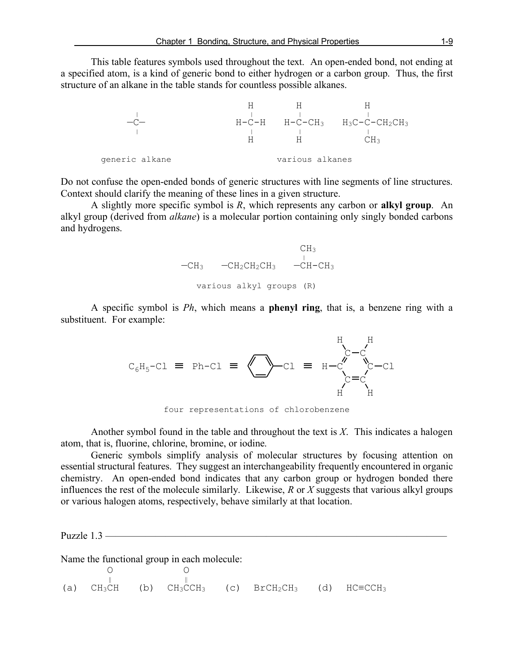This table features symbols used throughout the text. An open-ended bond, not ending at a specified atom, is a kind of generic bond to either hydrogen or a carbon group. Thus, the first structure of an alkane in the table stands for countless possible alkanes.

|                |   |                 | $H-C-H$ $H-C-CH_3$ $H_3C-C-CH_2CH_3$ |
|----------------|---|-----------------|--------------------------------------|
|                |   |                 |                                      |
|                | н | н               | СΗз                                  |
|                |   |                 |                                      |
| generic alkane |   | various alkanes |                                      |

Do not confuse the open-ended bonds of generic structures with line segments of line structures. Context should clarify the meaning of these lines in a given structure.

A slightly more specific symbol is *R*, which represents any carbon or **alkyl group**. An alkyl group (derived from *alkane*) is a molecular portion containing only singly bonded carbons and hydrogens.



A specific symbol is *Ph*, which means a **phenyl ring**, that is, a benzene ring with a substituent. For example:



four representations of chlorobenzene

Another symbol found in the table and throughout the text is *X*. This indicates a halogen atom, that is, fluorine, chlorine, bromine, or iodine.

Generic symbols simplify analysis of molecular structures by focusing attention on essential structural features. They suggest an interchangeability frequently encountered in organic chemistry. An open-ended bond indicates that any carbon group or hydrogen bonded there influences the rest of the molecule similarly. Likewise, *R* or *X* suggests that various alkyl groups or various halogen atoms, respectively, behave similarly at that location.

Puzzle  $1.3$  —

Name the functional group in each molecule:

 $\begin{matrix} 0 & 0 \\ 0 & 0 \\ 0 & 0 \end{matrix}$ (a)  $CH_3CH$  (b)  $CH_3CCH_3$  (c)  $BrCH_2CH_3$  (d)  $HC=CCH_3$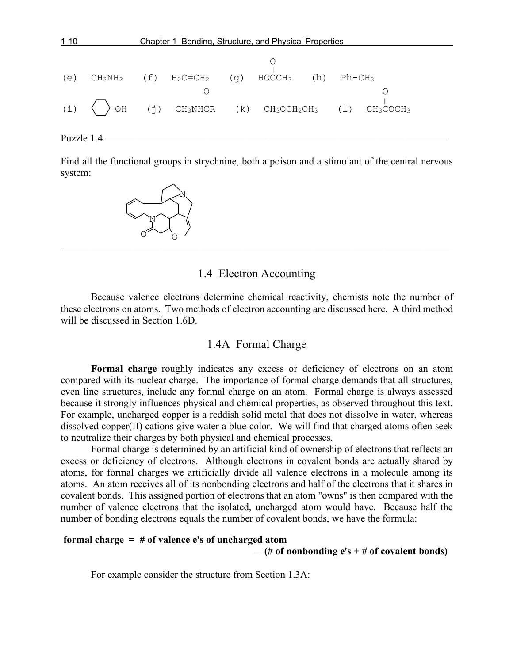

Find all the functional groups in strychnine, both a poison and a stimulant of the central nervous system:



# 1.4 Electron Accounting

Because valence electrons determine chemical reactivity, chemists note the number of these electrons on atoms. Two methods of electron accounting are discussed here. A third method will be discussed in Section 1.6D.

## 1.4A Formal Charge

**Formal charge** roughly indicates any excess or deficiency of electrons on an atom compared with its nuclear charge. The importance of formal charge demands that all structures, even line structures, include any formal charge on an atom. Formal charge is always assessed because it strongly influences physical and chemical properties, as observed throughout this text. For example, uncharged copper is a reddish solid metal that does not dissolve in water, whereas dissolved copper(II) cations give water a blue color. We will find that charged atoms often seek to neutralize their charges by both physical and chemical processes.

Formal charge is determined by an artificial kind of ownership of electrons that reflects an excess or deficiency of electrons. Although electrons in covalent bonds are actually shared by atoms, for formal charges we artificially divide all valence electrons in a molecule among its atoms. An atom receives all of its nonbonding electrons and half of the electrons that it shares in covalent bonds. This assigned portion of electrons that an atom "owns" is then compared with the number of valence electrons that the isolated, uncharged atom would have. Because half the number of bonding electrons equals the number of covalent bonds, we have the formula:

#### **formal charge = # of valence e's of uncharged atom**

 **– (# of nonbonding e's + # of covalent bonds)**

For example consider the structure from Section 1.3A: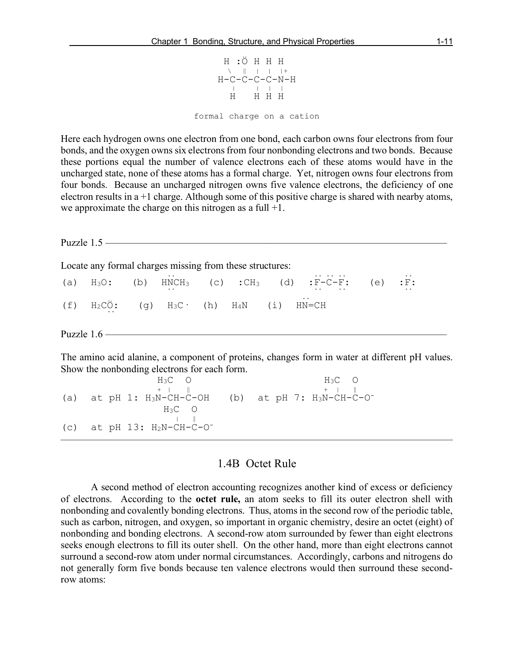

Here each hydrogen owns one electron from one bond, each carbon owns four electrons from four bonds, and the oxygen owns six electrons from four nonbonding electrons and two bonds. Because these portions equal the number of valence electrons each of these atoms would have in the uncharged state, none of these atoms has a formal charge. Yet, nitrogen owns four electrons from four bonds. Because an uncharged nitrogen owns five valence electrons, the deficiency of one electron results in a +1 charge. Although some of this positive charge is shared with nearby atoms, we approximate the charge on this nitrogen as a full  $+1$ .

Puzzle 1.5 ———— Locate any formal charges missing from these structures:  $\frac{1}{2}$ (a)  $H_3O$ : (b)  $HNCH_3$  (c) :C $H_3$  (d) :F-C-F: (e) :F: .. (f)  $H_2C\ddot{O}$ : (g)  $H_3C$  (h)  $H_4N$  (i)  $HN=CH$ Puzzle 1.6 —————————————————————————————————— The amino acid alanine, a component of proteins, changes form in water at different pH values. Show the nonbonding electrons for each form.  $H_3C$  O  $H_3C$  O<br>+ | || + | || (a) at pH 1:  $H_3N-CH-C-OH$  (b) at pH 7:  $H_3N-CH-C-O^ H_3C$  O

## 1.4B Octet Rule

 $\overline{\phantom{a}}$  , and the contract of the contract of  $\overline{\phantom{a}}$ 

(c) at pH 13:  $H_2N-CH-C-O^-$ 

A second method of electron accounting recognizes another kind of excess or deficiency of electrons. According to the **octet rule,** an atom seeks to fill its outer electron shell with nonbonding and covalently bonding electrons. Thus, atoms in the second row of the periodic table, such as carbon, nitrogen, and oxygen, so important in organic chemistry, desire an octet (eight) of nonbonding and bonding electrons. A second-row atom surrounded by fewer than eight electrons seeks enough electrons to fill its outer shell. On the other hand, more than eight electrons cannot surround a second-row atom under normal circumstances. Accordingly, carbons and nitrogens do not generally form five bonds because ten valence electrons would then surround these secondrow atoms: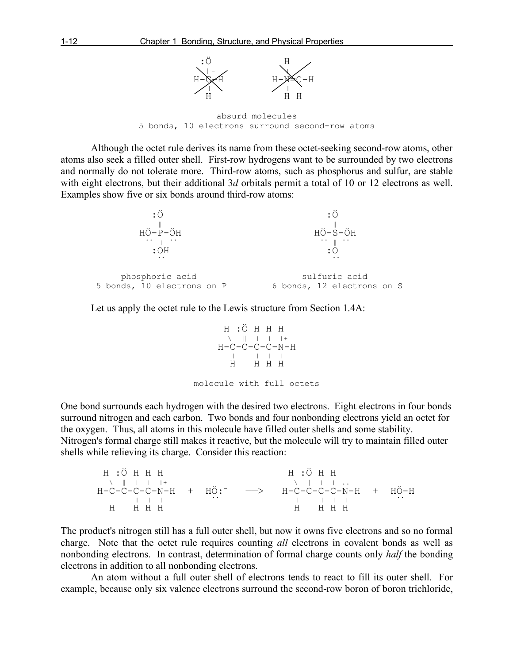

absurd molecules 5 bonds, 10 electrons surround second-row atoms

Although the octet rule derives its name from these octet-seeking second-row atoms, other atoms also seek a filled outer shell. First-row hydrogens want to be surrounded by two electrons and normally do not tolerate more. Third-row atoms, such as phosphorus and sulfur, are stable with eight electrons, but their additional 3*d* orbitals permit a total of 10 or 12 electrons as well. Examples show five or six bonds around third-row atoms:



Let us apply the octet rule to the Lewis structure from Section 1.4A:



One bond surrounds each hydrogen with the desired two electrons. Eight electrons in four bonds surround nitrogen and each carbon. Two bonds and four nonbonding electrons yield an octet for the oxygen. Thus, all atoms in this molecule have filled outer shells and some stability. Nitrogen's formal charge still makes it reactive, but the molecule will try to maintain filled outer shells while relieving its charge. Consider this reaction:

H :Ö H H H H H  $\setminus$  || ||+  $\setminus$  || || || ... H-C-C-C-C-N-H + HÖ:- ——> H-C-C-C-C-N-H + HÖ-H | | | | .. | | | | .. H H H H H H H H

The product's nitrogen still has a full outer shell, but now it owns five electrons and so no formal charge. Note that the octet rule requires counting *all* electrons in covalent bonds as well as nonbonding electrons. In contrast, determination of formal charge counts only *half* the bonding electrons in addition to all nonbonding electrons.

An atom without a full outer shell of electrons tends to react to fill its outer shell. For example, because only six valence electrons surround the second-row boron of boron trichloride,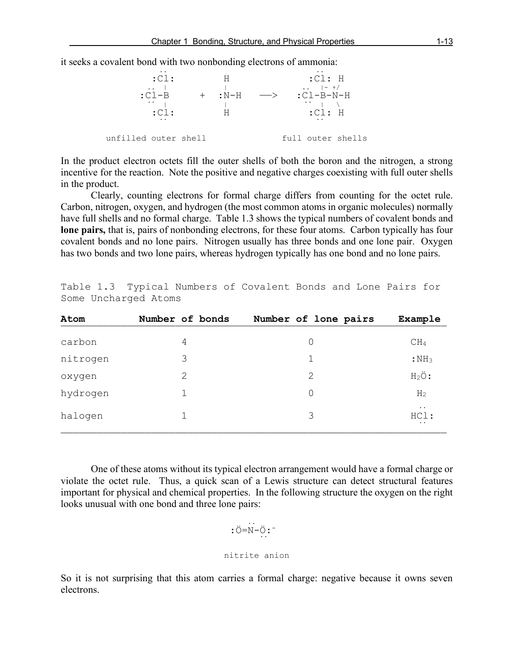

In the product electron octets fill the outer shells of both the boron and the nitrogen, a strong incentive for the reaction. Note the positive and negative charges coexisting with full outer shells in the product.

Clearly, counting electrons for formal charge differs from counting for the octet rule. Carbon, nitrogen, oxygen, and hydrogen (the most common atoms in organic molecules) normally have full shells and no formal charge. Table 1.3 shows the typical numbers of covalent bonds and **lone pairs,** that is, pairs of nonbonding electrons, for these four atoms. Carbon typically has four covalent bonds and no lone pairs. Nitrogen usually has three bonds and one lone pair. Oxygen has two bonds and two lone pairs, whereas hydrogen typically has one bond and no lone pairs.

| Atom     | Number of bonds | Number of lone pairs | Example                                   |
|----------|-----------------|----------------------|-------------------------------------------|
| carbon   | 4               | 0                    | CH <sub>4</sub>                           |
| nitrogen | 3               | 1                    | $:$ NH <sub>3</sub>                       |
| oxygen   | 2               | 2                    | $H_2\ddot{\mathrm{O}}$ :                  |
| hydrogen | 1.              | 0                    | H <sub>2</sub>                            |
| halogen  | 1               | 3                    | $\ddotsc$<br>HCl:<br>$\ddot{\phantom{a}}$ |
|          |                 |                      |                                           |

Table 1.3 Typical Numbers of Covalent Bonds and Lone Pairs for Some Uncharged Atoms

One of these atoms without its typical electron arrangement would have a formal charge or violate the octet rule. Thus, a quick scan of a Lewis structure can detect structural features important for physical and chemical properties. In the following structure the oxygen on the right looks unusual with one bond and three lone pairs:

$$
:\stackrel{\cdot\cdot\cdot}{\circ}=\stackrel{\cdot\cdot\cdot}{\circ}\stackrel{\cdot\cdot\cdot}{\circ}:
$$

nitrite anion

So it is not surprising that this atom carries a formal charge: negative because it owns seven electrons.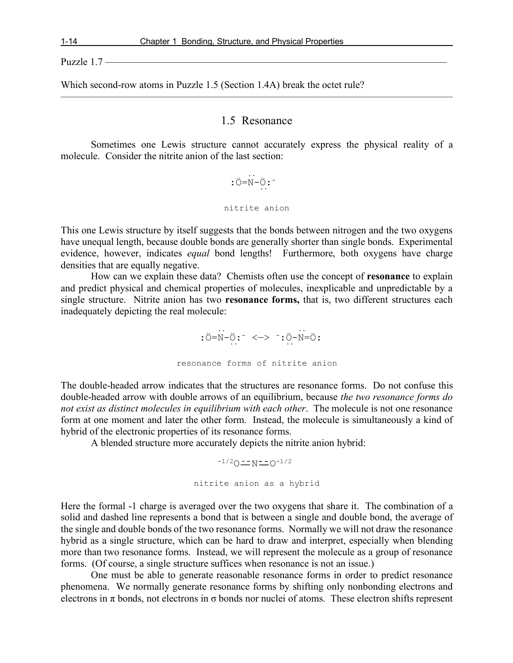Puzzle  $1.7$  —

Which second-row atoms in Puzzle 1.5 (Section 1.4A) break the octet rule?

### 1.5 Resonance

 $\overline{\phantom{a}}$  , and the contract of the contract of  $\overline{\phantom{a}}$ 

Sometimes one Lewis structure cannot accurately express the physical reality of a molecule. Consider the nitrite anion of the last section:

 .. :Ö=N-Ö:- .. nitrite anion

This one Lewis structure by itself suggests that the bonds between nitrogen and the two oxygens have unequal length, because double bonds are generally shorter than single bonds. Experimental evidence, however, indicates *equal* bond lengths! Furthermore, both oxygens have charge densities that are equally negative.

How can we explain these data? Chemists often use the concept of **resonance** to explain and predict physical and chemical properties of molecules, inexplicable and unpredictable by a single structure. Nitrite anion has two **resonance forms,** that is, two different structures each inadequately depicting the real molecule:

 .. ..  $:$  O=N- $\ddot{\mathrm{O}}$ :  $^-$  < $\to$   $^-$  :  $\ddot{\mathrm{O}}$ -N= $\ddot{\mathrm{O}}$ : resonance forms of nitrite anion

The double-headed arrow indicates that the structures are resonance forms. Do not confuse this double-headed arrow with double arrows of an equilibrium, because *the two resonance forms do not exist as distinct molecules in equilibrium with each other*. The molecule is not one resonance form at one moment and later the other form. Instead, the molecule is simultaneously a kind of hybrid of the electronic properties of its resonance forms.

A blended structure more accurately depicts the nitrite anion hybrid:

$$
^{-1/2}O \equiv N \equiv O^{-1/2}
$$
\nn`infinite anion as a hybrid`

Here the formal -1 charge is averaged over the two oxygens that share it. The combination of a solid and dashed line represents a bond that is between a single and double bond, the average of the single and double bonds of the two resonance forms. Normally we will not draw the resonance hybrid as a single structure, which can be hard to draw and interpret, especially when blending more than two resonance forms. Instead, we will represent the molecule as a group of resonance forms. (Of course, a single structure suffices when resonance is not an issue.)

One must be able to generate reasonable resonance forms in order to predict resonance phenomena. We normally generate resonance forms by shifting only nonbonding electrons and electrons in  $\pi$  bonds, not electrons in  $\sigma$  bonds nor nuclei of atoms. These electron shifts represent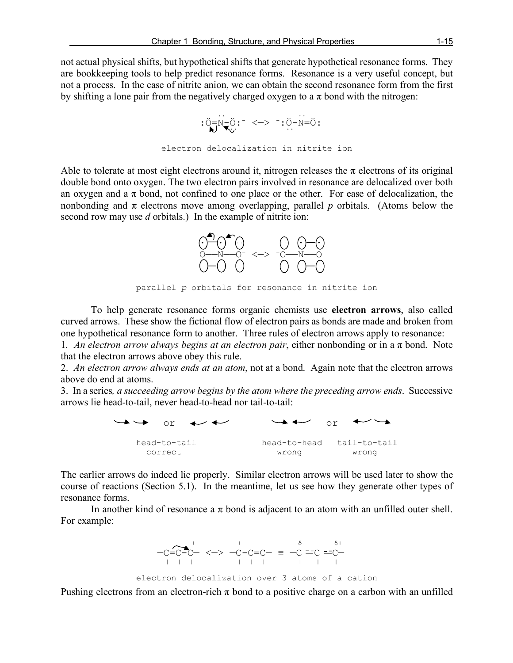not actual physical shifts, but hypothetical shifts that generate hypothetical resonance forms. They are bookkeeping tools to help predict resonance forms. Resonance is a very useful concept, but not a process. In the case of nitrite anion, we can obtain the second resonance form from the first by shifting a lone pair from the negatively charged oxygen to a  $\pi$  bond with the nitrogen:

```
 .. ..
 :Ö=N-Ö:- <—> -:Ö-N=Ö: .. ..
          electron delocalization in nitrite ion
```
Able to tolerate at most eight electrons around it, nitrogen releases the  $\pi$  electrons of its original double bond onto oxygen. The two electron pairs involved in resonance are delocalized over both an oxygen and a  $\pi$  bond, not confined to one place or the other. For ease of delocalization, the nonbonding and  $\pi$  electrons move among overlapping, parallel *p* orbitals. (Atoms below the second row may use *d* orbitals.) In the example of nitrite ion:



parallel *p* orbitals for resonance in nitrite ion

To help generate resonance forms organic chemists use **electron arrows**, also called curved arrows. These show the fictional flow of electron pairs as bonds are made and broken from one hypothetical resonance form to another. Three rules of electron arrows apply to resonance:

1*. An electron arrow always begins at an electron pair*, either nonbonding or in a π bond. Note that the electron arrows above obey this rule.

2. *An electron arrow always ends at an atom*, not at a bond. Again note that the electron arrows above do end at atoms.

3. In a series*, a succeeding arrow begins by the atom where the preceding arrow ends*. Successive arrows lie head-to-tail, never head-to-head nor tail-to-tail:

 $\rightarrow$   $\rightarrow$  or  $\rightarrow$   $\rightarrow$   $\rightarrow$  or head-to-tail head-to-head tail-to-tail correct wrong wrong

The earlier arrows do indeed lie properly. Similar electron arrows will be used later to show the course of reactions (Section 5.1). In the meantime, let us see how they generate other types of resonance forms.

In another kind of resonance a  $\pi$  bond is adjacent to an atom with an unfilled outer shell. For example:

 $\leftarrow$  +  $\delta$  +  $\delta$  +  $\delta$  + —C=C-C— <—> —C-C=C— <sup>≡</sup> —C C C— | | | | | | | | |

electron delocalization over 3 atoms of a cation

Pushing electrons from an electron-rich  $\pi$  bond to a positive charge on a carbon with an unfilled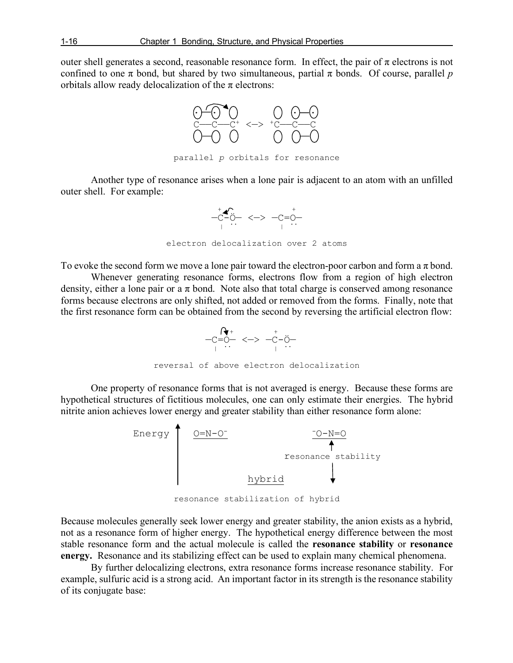outer shell generates a second, reasonable resonance form. In effect, the pair of  $\pi$  electrons is not confined to one  $\pi$  bond, but shared by two simultaneous, partial  $\pi$  bonds. Of course, parallel p orbitals allow ready delocalization of the  $\pi$  electrons:



Another type of resonance arises when a lone pair is adjacent to an atom with an unfilled outer shell. For example:



To evoke the second form we move a lone pair toward the electron-poor carbon and form a  $\pi$  bond.

Whenever generating resonance forms, electrons flow from a region of high electron density, either a lone pair or a  $\pi$  bond. Note also that total charge is conserved among resonance forms because electrons are only shifted, not added or removed from the forms. Finally, note that the first resonance form can be obtained from the second by reversing the artificial electron flow:



One property of resonance forms that is not averaged is energy. Because these forms are hypothetical structures of fictitious molecules, one can only estimate their energies. The hybrid nitrite anion achieves lower energy and greater stability than either resonance form alone:



resonance stabilization of hybrid

Because molecules generally seek lower energy and greater stability, the anion exists as a hybrid, not as a resonance form of higher energy. The hypothetical energy difference between the most stable resonance form and the actual molecule is called the **resonance stability** or **resonance energy.** Resonance and its stabilizing effect can be used to explain many chemical phenomena.

By further delocalizing electrons, extra resonance forms increase resonance stability. For example, sulfuric acid is a strong acid. An important factor in its strength is the resonance stability of its conjugate base: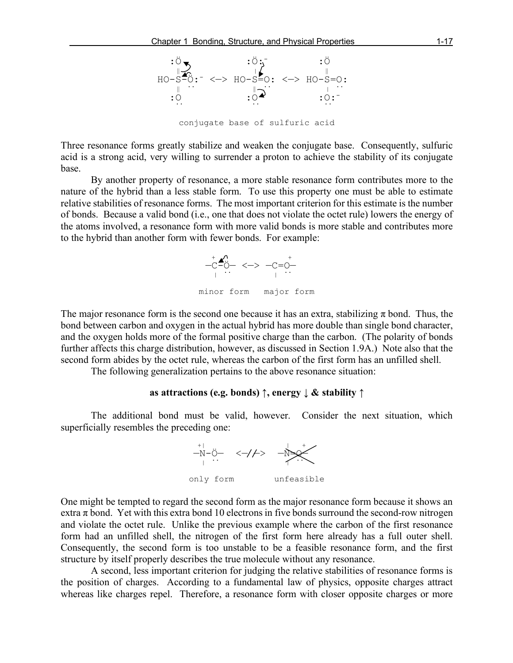

Three resonance forms greatly stabilize and weaken the conjugate base. Consequently, sulfuric acid is a strong acid, very willing to surrender a proton to achieve the stability of its conjugate base.

By another property of resonance, a more stable resonance form contributes more to the nature of the hybrid than a less stable form. To use this property one must be able to estimate relative stabilities of resonance forms. The most important criterion for this estimate is the number of bonds. Because a valid bond (i.e., one that does not violate the octet rule) lowers the energy of the atoms involved, a resonance form with more valid bonds is more stable and contributes more to the hybrid than another form with fewer bonds. For example:



The major resonance form is the second one because it has an extra, stabilizing  $\pi$  bond. Thus, the bond between carbon and oxygen in the actual hybrid has more double than single bond character, and the oxygen holds more of the formal positive charge than the carbon. (The polarity of bonds further affects this charge distribution, however, as discussed in Section 1.9A.) Note also that the second form abides by the octet rule, whereas the carbon of the first form has an unfilled shell.

The following generalization pertains to the above resonance situation:

#### **as attractions (e.g. bonds) ↑, energy ↓ & stability ↑**

The additional bond must be valid, however. Consider the next situation, which superficially resembles the preceding one:



One might be tempted to regard the second form as the major resonance form because it shows an extra  $\pi$  bond. Yet with this extra bond 10 electrons in five bonds surround the second-row nitrogen and violate the octet rule. Unlike the previous example where the carbon of the first resonance form had an unfilled shell, the nitrogen of the first form here already has a full outer shell. Consequently, the second form is too unstable to be a feasible resonance form, and the first structure by itself properly describes the true molecule without any resonance.

A second, less important criterion for judging the relative stabilities of resonance forms is the position of charges. According to a fundamental law of physics, opposite charges attract whereas like charges repel. Therefore, a resonance form with closer opposite charges or more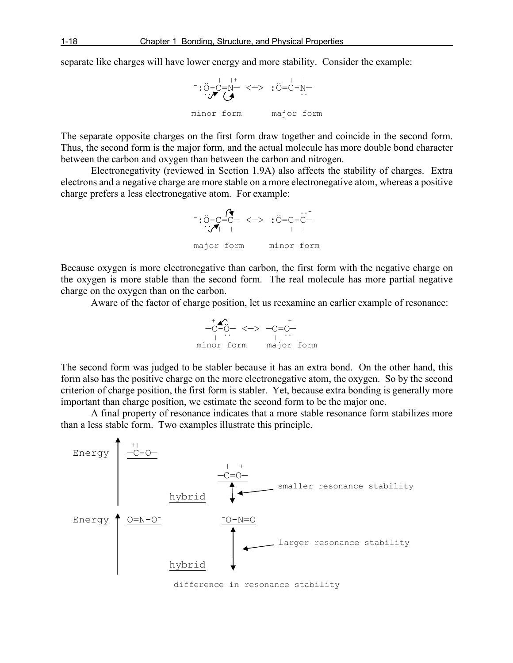separate like charges will have lower energy and more stability. Consider the example:



The separate opposite charges on the first form draw together and coincide in the second form. Thus, the second form is the major form, and the actual molecule has more double bond character between the carbon and oxygen than between the carbon and nitrogen.

Electronegativity (reviewed in Section 1.9A) also affects the stability of charges. Extra electrons and a negative charge are more stable on a more electronegative atom, whereas a positive charge prefers a less electronegative atom. For example:



Because oxygen is more electronegative than carbon, the first form with the negative charge on the oxygen is more stable than the second form. The real molecule has more partial negative charge on the oxygen than on the carbon.

Aware of the factor of charge position, let us reexamine an earlier example of resonance:



The second form was judged to be stabler because it has an extra bond. On the other hand, this form also has the positive charge on the more electronegative atom, the oxygen. So by the second criterion of charge position, the first form is stabler. Yet, because extra bonding is generally more important than charge position, we estimate the second form to be the major one.

A final property of resonance indicates that a more stable resonance form stabilizes more than a less stable form. Two examples illustrate this principle.



difference in resonance stability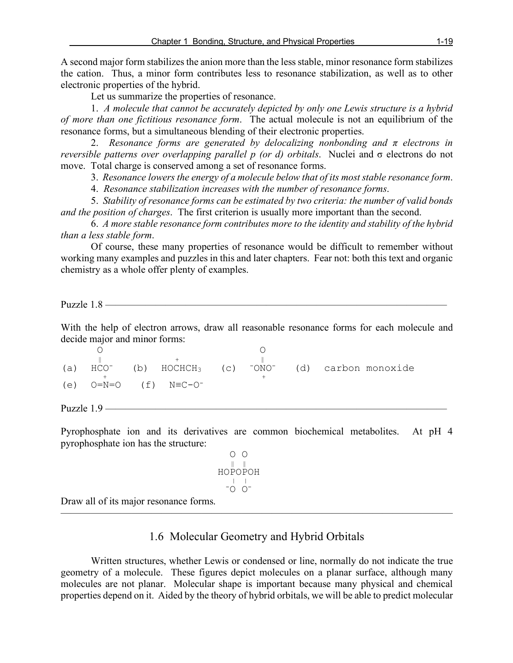A second major form stabilizes the anion more than the less stable, minor resonance form stabilizes the cation. Thus, a minor form contributes less to resonance stabilization, as well as to other electronic properties of the hybrid.

Let us summarize the properties of resonance.

1. *A molecule that cannot be accurately depicted by only one Lewis structure is a hybrid of more than one fictitious resonance form*. The actual molecule is not an equilibrium of the resonance forms, but a simultaneous blending of their electronic properties.

2. *Resonance forms are generated by delocalizing nonbonding and π electrons in reversible patterns over overlapping parallel p (or d) orbitals*. Nuclei and σ electrons do not move. Total charge is conserved among a set of resonance forms.

3. *Resonance lowers the energy of a molecule below that of its most stable resonance form*.

4. *Resonance stabilization increases with the number of resonance forms*.

5. *Stability of resonance forms can be estimated by two criteria: the number of valid bonds and the position of charges*. The first criterion is usually more important than the second.

6. *A more stable resonance form contributes more to the identity and stability of the hybrid than a less stable form*.

Of course, these many properties of resonance would be difficult to remember without working many examples and puzzles in this and later chapters. Fear not: both this text and organic chemistry as a whole offer plenty of examples.

Puzzle 1.8 ——————————————————————————————————

With the help of electron arrows, draw all reasonable resonance forms for each molecule and decide major and minor forms:

| (a) | $HCO^-$ |                                      |  |  | (b) $HOCHCH_3$ (c) $-ONO^-$ (d) carbon monoxide |
|-----|---------|--------------------------------------|--|--|-------------------------------------------------|
|     |         |                                      |  |  |                                                 |
|     |         | (e) $Q = N = Q$ (f) $N = C - Q^{-1}$ |  |  |                                                 |
|     |         |                                      |  |  |                                                 |

Puzzle  $1.9$  —

Pyrophosphate ion and its derivatives are common biochemical metabolites. At pH 4 pyrophosphate ion has the structure:

 O O ‖ ‖ HOPOPOH | | -O O-

Draw all of its major resonance forms.

# 1.6 Molecular Geometry and Hybrid Orbitals

———————————————————————————————————————

Written structures, whether Lewis or condensed or line, normally do not indicate the true geometry of a molecule. These figures depict molecules on a planar surface, although many molecules are not planar. Molecular shape is important because many physical and chemical properties depend on it. Aided by the theory of hybrid orbitals, we will be able to predict molecular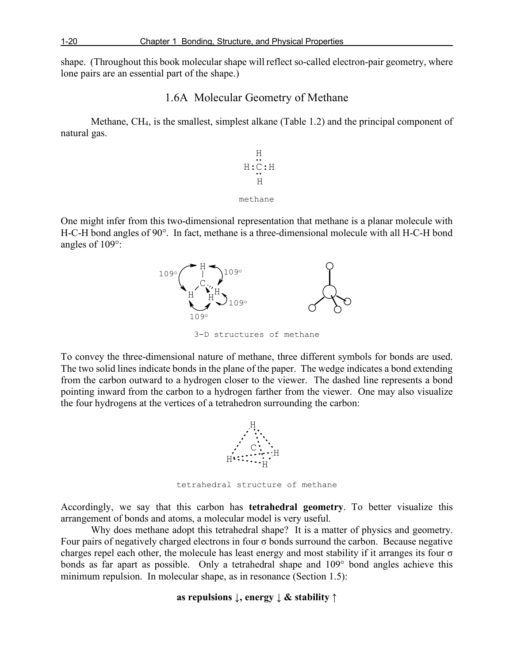shape. (Throughout this book molecular shape will reflect so-called electron-pair geometry, where lone pairs are an essential part of the shape.)

## 1.6A Molecular Geometry of Methane

Methane, CH4, is the smallest, simplest alkane (Table 1.2) and the principal component of natural gas.



One might infer from this two-dimensional representation that methane is a planar molecule with H-C-H bond angles of 90°. In fact, methane is a three-dimensional molecule with all H-C-H bond angles of 109°:



3-D structures of methane

To convey the three-dimensional nature of methane, three different symbols for bonds are used. The two solid lines indicate bonds in the plane of the paper. The wedge indicates a bond extending from the carbon outward to a hydrogen closer to the viewer. The dashed line represents a bond pointing inward from the carbon to a hydrogen farther from the viewer. One may also visualize the four hydrogens at the vertices of a tetrahedron surrounding the carbon:



tetrahedral structure of methane

Accordingly, we say that this carbon has **tetrahedral geometry**. To better visualize this arrangement of bonds and atoms, a molecular model is very useful.

Why does methane adopt this tetrahedral shape? It is a matter of physics and geometry. Four pairs of negatively charged electrons in four σ bonds surround the carbon. Because negative charges repel each other, the molecule has least energy and most stability if it arranges its four  $\sigma$ bonds as far apart as possible. Only a tetrahedral shape and 109° bond angles achieve this minimum repulsion. In molecular shape, as in resonance (Section 1.5):

### **as repulsions ↓, energy ↓ & stability ↑**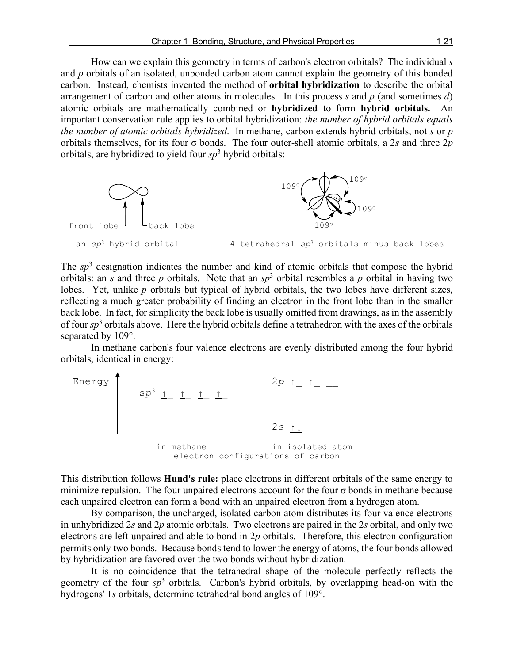How can we explain this geometry in terms of carbon's electron orbitals? The individual *s* and *p* orbitals of an isolated, unbonded carbon atom cannot explain the geometry of this bonded carbon. Instead, chemists invented the method of **orbital hybridization** to describe the orbital arrangement of carbon and other atoms in molecules. In this process *s* and *p* (and sometimes *d*) atomic orbitals are mathematically combined or **hybridized** to form **hybrid orbitals.** An important conservation rule applies to orbital hybridization: *the number of hybrid orbitals equals the number of atomic orbitals hybridized*. In methane, carbon extends hybrid orbitals, not *s* or *p* orbitals themselves, for its four σ bonds. The four outer-shell atomic orbitals, a 2*s* and three 2*p* orbitals, are hybridized to yield four *sp*<sup>3</sup> hybrid orbitals:



The *sp*<sup>3</sup> designation indicates the number and kind of atomic orbitals that compose the hybrid orbitals: an *s* and three *p* orbitals. Note that an  $sp^3$  orbital resembles a *p* orbital in having two lobes. Yet, unlike *p* orbitals but typical of hybrid orbitals, the two lobes have different sizes, reflecting a much greater probability of finding an electron in the front lobe than in the smaller back lobe. In fact, for simplicity the back lobe is usually omitted from drawings, as in the assembly of four *sp*<sup>3</sup> orbitals above. Here the hybrid orbitals define a tetrahedron with the axes of the orbitals separated by 109°.

In methane carbon's four valence electrons are evenly distributed among the four hybrid orbitals, identical in energy:



This distribution follows **Hund's rule:** place electrons in different orbitals of the same energy to minimize repulsion. The four unpaired electrons account for the four  $\sigma$  bonds in methane because each unpaired electron can form a bond with an unpaired electron from a hydrogen atom.

By comparison, the uncharged, isolated carbon atom distributes its four valence electrons in unhybridized 2*s* and 2*p* atomic orbitals. Two electrons are paired in the 2*s* orbital, and only two electrons are left unpaired and able to bond in 2*p* orbitals. Therefore, this electron configuration permits only two bonds. Because bonds tend to lower the energy of atoms, the four bonds allowed by hybridization are favored over the two bonds without hybridization.

It is no coincidence that the tetrahedral shape of the molecule perfectly reflects the geometry of the four *sp*<sup>3</sup> orbitals. Carbon's hybrid orbitals, by overlapping head-on with the hydrogens' 1*s* orbitals, determine tetrahedral bond angles of 109°.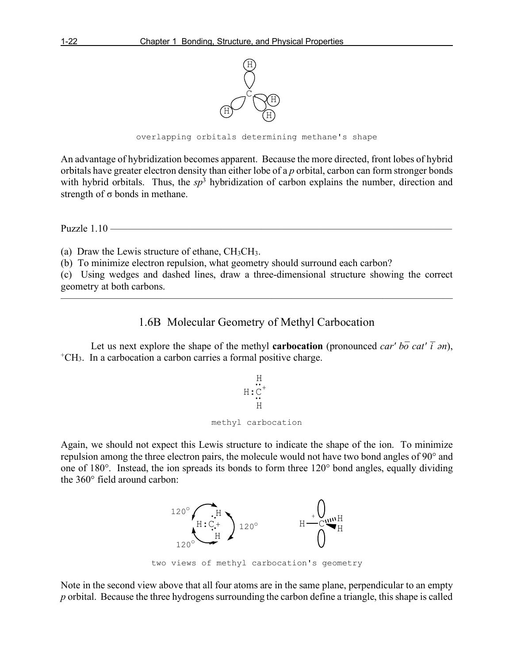

overlapping orbitals determining methane's shape

An advantage of hybridization becomes apparent. Because the more directed, front lobes of hybrid orbitals have greater electron density than either lobe of a *p* orbital, carbon can form stronger bonds with hybrid orbitals. Thus, the  $sp^3$  hybridization of carbon explains the number, direction and strength of  $\sigma$  bonds in methane.

Puzzle  $1.10$  ——

(a) Draw the Lewis structure of ethane, CH3CH3.

(b) To minimize electron repulsion, what geometry should surround each carbon?

(c) Using wedges and dashed lines, draw a three-dimensional structure showing the correct geometry at both carbons.

———————————————————————————————————————

# 1.6B Molecular Geometry of Methyl Carbocation

Let us next explore the shape of the methyl **carbocation** (pronounced *car' bō cat'*  $\bar{i}$  *ən*), <sup>+</sup>CH<sub>3</sub>. In a carbocation a carbon carries a formal positive charge.

$$
\begin{array}{c}\nH \\
H:C^+ \\
H \\
H \\
H \\
H\n\end{array}
$$

Again, we should not expect this Lewis structure to indicate the shape of the ion. To minimize repulsion among the three electron pairs, the molecule would not have two bond angles of 90° and one of 180°. Instead, the ion spreads its bonds to form three 120° bond angles, equally dividing the 360° field around carbon:



two views of methyl carbocation's geometry

Note in the second view above that all four atoms are in the same plane, perpendicular to an empty *p* orbital. Because the three hydrogens surrounding the carbon define a triangle, this shape is called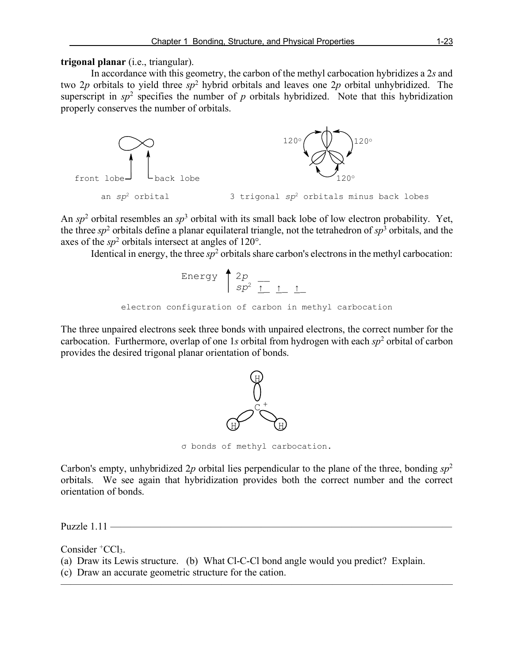### **trigonal planar** (i.e., triangular).

In accordance with this geometry, the carbon of the methyl carbocation hybridizes a 2*s* and two 2*p* orbitals to yield three *sp*<sup>2</sup> hybrid orbitals and leaves one 2*p* orbital unhybridized. The superscript in  $sp^2$  specifies the number of *p* orbitals hybridized. Note that this hybridization properly conserves the number of orbitals.



An *sp*<sup>2</sup> orbital resembles an *sp*<sup>3</sup> orbital with its small back lobe of low electron probability. Yet, the three  $sp^2$  orbitals define a planar equilateral triangle, not the tetrahedron of  $sp^3$  orbitals, and the axes of the  $sp^2$  orbitals intersect at angles of 120 $^{\circ}$ .

Identical in energy, the three  $sp^2$  orbitals share carbon's electrons in the methyl carbocation:

Energy 
$$
\frac{2p}{sp^2} \frac{1}{\frac{1}{sp^2} \frac{1}{\frac{1}{sp^2} \frac{1}{\frac{1}{sp^2}}}}
$$

The three unpaired electrons seek three bonds with unpaired electrons, the correct number for the carbocation. Furthermore, overlap of one 1*s* orbital from hydrogen with each *sp*<sup>2</sup> orbital of carbon provides the desired trigonal planar orientation of bonds.



σ bonds of methyl carbocation.

Carbon's empty, unhybridized 2*p* orbital lies perpendicular to the plane of the three, bonding *sp*<sup>2</sup> orbitals. We see again that hybridization provides both the correct number and the correct orientation of bonds.

Puzzle  $1.11$  —

Consider  ${}^+CCl_3$ .

(a) Draw its Lewis structure. (b) What Cl-C-Cl bond angle would you predict? Explain.

———————————————————————————————————————

(c) Draw an accurate geometric structure for the cation.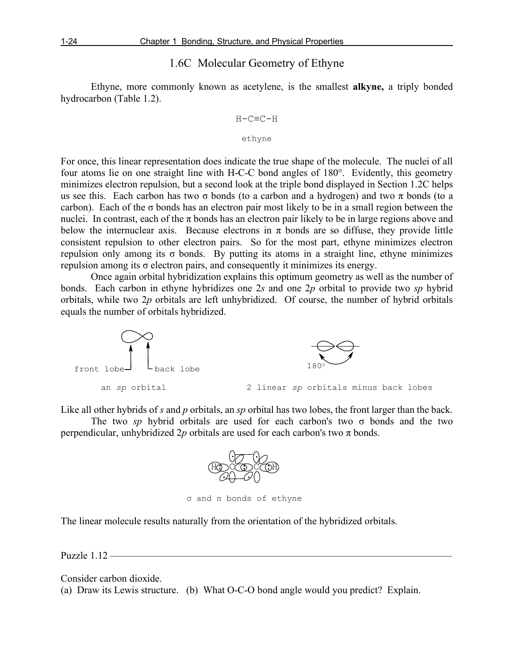# 1.6C Molecular Geometry of Ethyne

Ethyne, more commonly known as acetylene, is the smallest **alkyne,** a triply bonded hydrocarbon (Table 1.2).

$$
\mathrm{H}\mathrm{-}\mathrm{C}\mathrm{ \mathrm{=C} \mathrm{-}H}
$$

#### ethyne

For once, this linear representation does indicate the true shape of the molecule. The nuclei of all four atoms lie on one straight line with H-C-C bond angles of 180°. Evidently, this geometry minimizes electron repulsion, but a second look at the triple bond displayed in Section 1.2C helps us see this. Each carbon has two  $\sigma$  bonds (to a carbon and a hydrogen) and two  $\pi$  bonds (to a carbon). Each of the  $\sigma$  bonds has an electron pair most likely to be in a small region between the nuclei. In contrast, each of the  $\pi$  bonds has an electron pair likely to be in large regions above and below the internuclear axis. Because electrons in  $\pi$  bonds are so diffuse, they provide little consistent repulsion to other electron pairs. So for the most part, ethyne minimizes electron repulsion only among its σ bonds. By putting its atoms in a straight line, ethyne minimizes repulsion among its σ electron pairs, and consequently it minimizes its energy.

Once again orbital hybridization explains this optimum geometry as well as the number of bonds. Each carbon in ethyne hybridizes one 2*s* and one 2*p* orbital to provide two *sp* hybrid orbitals, while two 2*p* orbitals are left unhybridized. Of course, the number of hybrid orbitals equals the number of orbitals hybridized.



Like all other hybrids of *s* and *p* orbitals, an *sp* orbital has two lobes, the front larger than the back. The two *sp* hybrid orbitals are used for each carbon's two σ bonds and the two

perpendicular, unhybridized  $2p$  orbitals are used for each carbon's two  $\pi$  bonds.



σ and π bonds of ethyne

The linear molecule results naturally from the orientation of the hybridized orbitals.

Puzzle  $1.12$  —

Consider carbon dioxide.

(a) Draw its Lewis structure. (b) What O-C-O bond angle would you predict? Explain.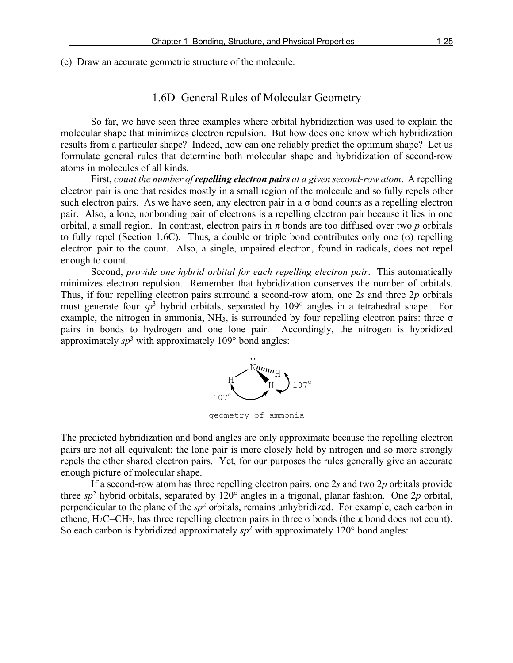#### (c) Draw an accurate geometric structure of the molecule.

# 1.6D General Rules of Molecular Geometry

———————————————————————————————————————

So far, we have seen three examples where orbital hybridization was used to explain the molecular shape that minimizes electron repulsion. But how does one know which hybridization results from a particular shape? Indeed, how can one reliably predict the optimum shape? Let us formulate general rules that determine both molecular shape and hybridization of second-row atoms in molecules of all kinds.

First, *count the number of repelling electron pairs at a given second-row atom*. A repelling electron pair is one that resides mostly in a small region of the molecule and so fully repels other such electron pairs. As we have seen, any electron pair in a  $\sigma$  bond counts as a repelling electron pair. Also, a lone, nonbonding pair of electrons is a repelling electron pair because it lies in one orbital, a small region. In contrast, electron pairs in  $\pi$  bonds are too diffused over two  $p$  orbitals to fully repel (Section 1.6C). Thus, a double or triple bond contributes only one (σ) repelling electron pair to the count. Also, a single, unpaired electron, found in radicals, does not repel enough to count.

Second, *provide one hybrid orbital for each repelling electron pair*. This automatically minimizes electron repulsion. Remember that hybridization conserves the number of orbitals. Thus, if four repelling electron pairs surround a second-row atom, one 2*s* and three 2*p* orbitals must generate four *sp*<sup>3</sup> hybrid orbitals, separated by 109° angles in a tetrahedral shape. For example, the nitrogen in ammonia,  $NH_3$ , is surrounded by four repelling electron pairs: three  $\sigma$ pairs in bonds to hydrogen and one lone pair. Accordingly, the nitrogen is hybridized approximately  $sp^3$  with approximately 109 $\degree$  bond angles:



geometry of ammonia

The predicted hybridization and bond angles are only approximate because the repelling electron pairs are not all equivalent: the lone pair is more closely held by nitrogen and so more strongly repels the other shared electron pairs. Yet, for our purposes the rules generally give an accurate enough picture of molecular shape.

If a second-row atom has three repelling electron pairs, one 2*s* and two 2*p* orbitals provide three *sp*<sup>2</sup> hybrid orbitals, separated by 120° angles in a trigonal, planar fashion. One 2*p* orbital, perpendicular to the plane of the  $sp^2$  orbitals, remains unhybridized. For example, each carbon in ethene, H<sub>2</sub>C=CH<sub>2</sub>, has three repelling electron pairs in three  $\sigma$  bonds (the  $\pi$  bond does not count). So each carbon is hybridized approximately  $sp^2$  with approximately 120 $\degree$  bond angles: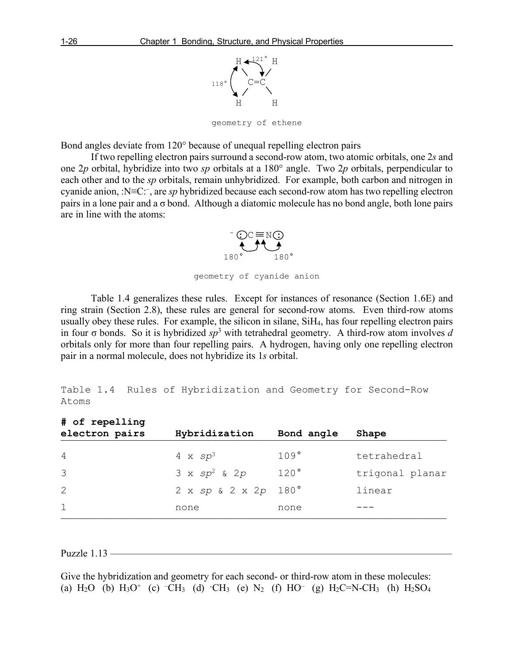

geometry of ethene

Bond angles deviate from 120° because of unequal repelling electron pairs

If two repelling electron pairs surround a second-row atom, two atomic orbitals, one 2*s* and one 2*p* orbital, hybridize into two *sp* orbitals at a 180° angle. Two 2*p* orbitals, perpendicular to each other and to the *sp* orbitals, remain unhybridized. For example, both carbon and nitrogen in cyanide anion, :N≡C:– , are *sp* hybridized because each second-row atom has two repelling electron pairs in a lone pair and a σ bond. Although a diatomic molecule has no bond angle, both lone pairs are in line with the atoms:



geometry of cyanide anion

Table 1.4 generalizes these rules. Except for instances of resonance (Section 1.6E) and ring strain (Section 2.8), these rules are general for second-row atoms. Even third-row atoms usually obey these rules. For example, the silicon in silane, SiH4, has four repelling electron pairs in four σ bonds. So it is hybridized *sp*<sup>3</sup> with tetrahedral geometry. A third-row atom involves *d* orbitals only for more than four repelling pairs. A hydrogen, having only one repelling electron pair in a normal molecule, does not hybridize its 1*s* orbital.

```
Table 1.4 Rules of Hybridization and Geometry for Second-Row 
Atoms
```

| # of repelling<br>electron pairs | Hybridization                    | Bond angle | Shape           |
|----------------------------------|----------------------------------|------------|-----------------|
| 4                                | 4 x $sp^3$                       | 109°       | tetrahedral     |
| 3                                | $3 \times sp^2$ & 2p             | 120°       | trigonal planar |
| 2                                | $2 \times sp & 2 \times 2p$ 180° |            | linear          |
| $\mathbf{1}$                     | none                             | none       |                 |
|                                  |                                  |            |                 |

Puzzle  $1.13$  –

Give the hybridization and geometry for each second- or third-row atom in these molecules: (a)  $H_2O$  (b)  $H_3O^+$  (c)  $\overline{CH_3}$  (d)  $\overline{CH_3}$  (e)  $N_2$  (f)  $HO^-$  (g)  $H_2C=N-CH_3$  (h)  $H_2SO_4$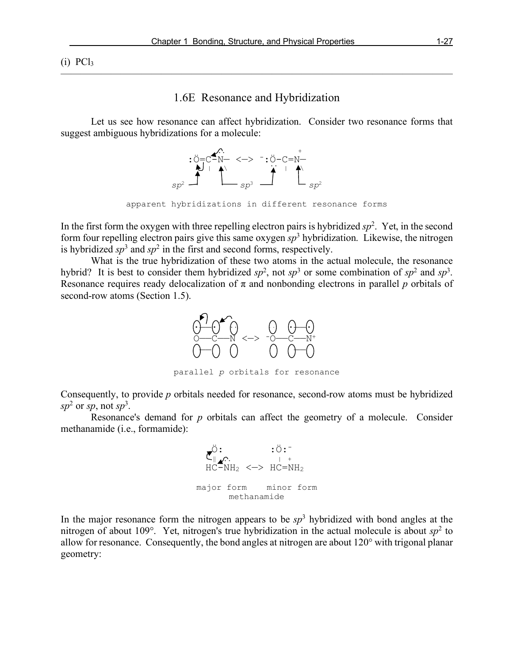$(i)$  PCl<sub>3</sub>

#### 1.6E Resonance and Hybridization

———————————————————————————————————————

Let us see how resonance can affect hybridization. Consider two resonance forms that suggest ambiguous hybridizations for a molecule:



In the first form the oxygen with three repelling electron pairs is hybridized  $sp<sup>2</sup>$ . Yet, in the second form four repelling electron pairs give this same oxygen *sp*<sup>3</sup> hybridization. Likewise, the nitrogen is hybridized  $sp^3$  and  $sp^2$  in the first and second forms, respectively.

What is the true hybridization of these two atoms in the actual molecule, the resonance hybrid? It is best to consider them hybridized  $sp^2$ , not  $sp^3$  or some combination of  $sp^2$  and  $sp^3$ . Resonance requires ready delocalization of  $\pi$  and nonbonding electrons in parallel *p* orbitals of second-row atoms (Section 1.5).



parallel *p* orbitals for resonance

Consequently, to provide *p* orbitals needed for resonance, second-row atoms must be hybridized  $sp<sup>2</sup>$  or *sp*, not *sp*<sup>3</sup>.

Resonance's demand for *p* orbitals can affect the geometry of a molecule. Consider methanamide (i.e., formamide):



In the major resonance form the nitrogen appears to be  $sp<sup>3</sup>$  hybridized with bond angles at the nitrogen of about 109 $^{\circ}$ . Yet, nitrogen's true hybridization in the actual molecule is about  $sp<sup>2</sup>$  to allow for resonance. Consequently, the bond angles at nitrogen are about 120° with trigonal planar geometry: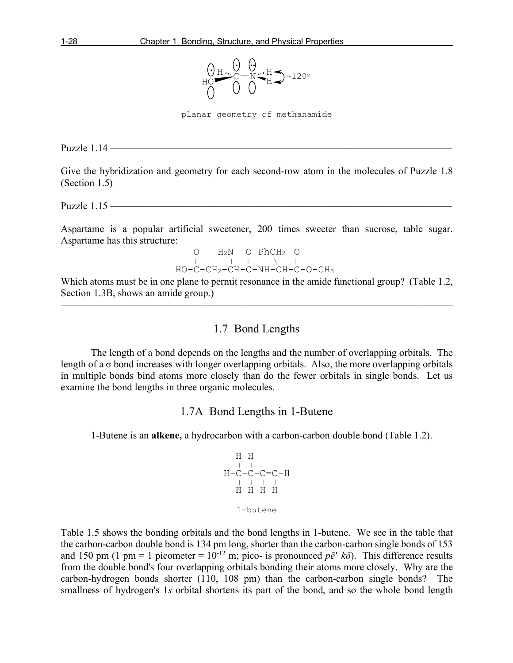

planar geometry of methanamide

Puzzle  $1.14$  —

Give the hybridization and geometry for each second-row atom in the molecules of Puzzle 1.8 (Section 1.5)

Puzzle  $1.15$  ——

Aspartame is a popular artificial sweetener, 200 times sweeter than sucrose, table sugar. Aspartame has this structure:

 $\begin{array}{ccccccc}\nO & H_2N & O & PhCH_2 & O \\
parallel & \vert & \vert & \vert & \ddots & \vert\end{array}$ HO-C-CH2-CH-C-NH-CH-C-O-CH3

Which atoms must be in one plane to permit resonance in the amide functional group? (Table 1.2, Section 1.3B, shows an amide group.) ———————————————————————————————————————

## 1.7 Bond Lengths

The length of a bond depends on the lengths and the number of overlapping orbitals. The length of a  $\sigma$  bond increases with longer overlapping orbitals. Also, the more overlapping orbitals in multiple bonds bind atoms more closely than do the fewer orbitals in single bonds. Let us examine the bond lengths in three organic molecules.

#### 1.7A Bond Lengths in 1-Butene

1-Butene is an **alkene,** a hydrocarbon with a carbon-carbon double bond (Table 1.2).

 H H | | H-C-C-C=C-H | | | | H H H H 1-butene

Table 1.5 shows the bonding orbitals and the bond lengths in 1-butene. We see in the table that the carbon-carbon double bond is 134 pm long, shorter than the carbon-carbon single bonds of 153 and 150 pm (1 pm = 1 picometer =  $10^{-12}$  m; pico- is pronounced  $p\bar{e}$ <sup>*' k* $\bar{o}$ ). This difference results</sup> from the double bond's four overlapping orbitals bonding their atoms more closely. Why are the carbon-hydrogen bonds shorter (110, 108 pm) than the carbon-carbon single bonds? The smallness of hydrogen's 1*s* orbital shortens its part of the bond, and so the whole bond length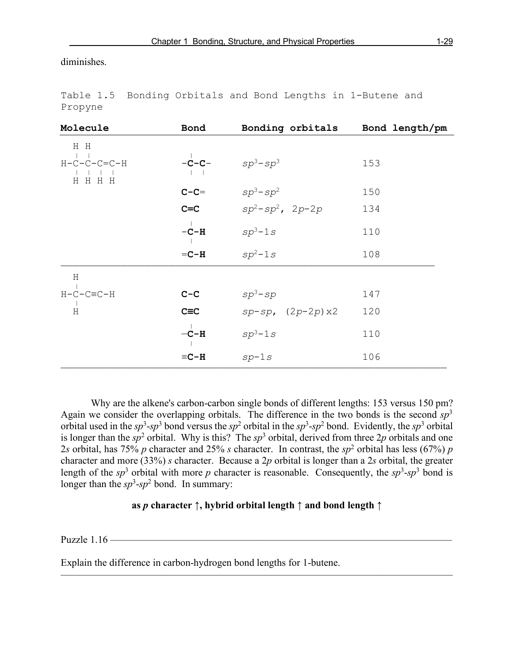diminishes.

| Molecule                     | Bond         | Bonding orbitals Bond length/pm |     |
|------------------------------|--------------|---------------------------------|-----|
| H H<br>$H-C-C-C=C-H$<br>HHHH |              | $-c-c sp^3-sp^3$                | 153 |
|                              | $C-C=$       | $sp^3$ -sp $^2$                 | 150 |
|                              | $C=C$        | $sp^2$ -sp $^2$ , 2p-2p         | 134 |
|                              | $-C-H$       | $sp^3-1s$                       | 110 |
|                              | $=C-H$       | $sp^2-1s$                       | 108 |
| Η                            |              |                                 |     |
| $H-C-C\equiv C-H$            | $C-C$        | $sp^3$ -sp                      | 147 |
| $\rm H$                      | $C \equiv C$ | $sp - sp$ , $(2p - 2p) x2$      | 120 |
|                              | $-C-H$       | $sp^3-1s$                       | 110 |
|                              | $\equiv$ C-H | $sp-1s$                         | 106 |
|                              |              |                                 |     |

Table 1.5 Bonding Orbitals and Bond Lengths in 1-Butene and Propyne

Why are the alkene's carbon-carbon single bonds of different lengths: 153 versus 150 pm? Again we consider the overlapping orbitals. The difference in the two bonds is the second *sp*<sup>3</sup> orbital used in the  $sp^3$ - $sp^3$  bond versus the  $sp^2$  orbital in the  $sp^3$ - $sp^2$  bond. Evidently, the  $sp^3$  orbital is longer than the  $sp^2$  orbital. Why is this? The  $sp^3$  orbital, derived from three 2*p* orbitals and one 2*s* orbital, has 75% *p* character and 25% *s* character. In contrast, the *sp*<sup>2</sup> orbital has less (67%) *p* character and more (33%) *s* character. Because a 2*p* orbital is longer than a 2*s* orbital, the greater length of the  $sp^3$  orbital with more p character is reasonable. Consequently, the  $sp^3$ - $sp^3$  bond is longer than the  $sp^3$ - $sp^2$  bond. In summary:

#### **as** *p* **character ↑, hybrid orbital length ↑ and bond length ↑**

———————————————————————————————————————

Puzzle  $1.16$  —

Explain the difference in carbon-hydrogen bond lengths for 1-butene.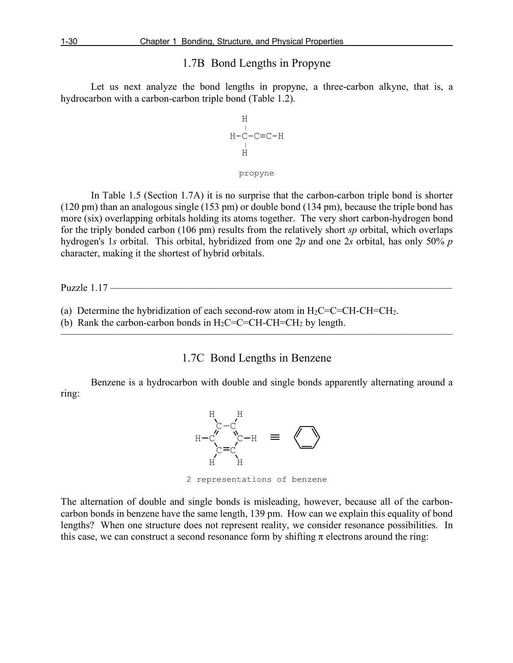## 1.7B Bond Lengths in Propyne

Let us next analyze the bond lengths in propyne, a three-carbon alkyne, that is, a hydrocarbon with a carbon-carbon triple bond (Table 1.2).

$$
\begin{array}{c}\nH \\
 \downarrow \\
 \downarrow \\
 \downarrow \\
 \downarrow \\
 \downarrow \\
 \downarrow \\
 \downarrow \\
 \downarrow\n \end{array}
$$

#### propyne

In Table 1.5 (Section 1.7A) it is no surprise that the carbon-carbon triple bond is shorter (120 pm) than an analogous single (153 pm) or double bond (134 pm), because the triple bond has more (six) overlapping orbitals holding its atoms together. The very short carbon-hydrogen bond for the triply bonded carbon (106 pm) results from the relatively short *sp* orbital, which overlaps hydrogen's 1*s* orbital. This orbital, hybridized from one 2*p* and one 2*s* orbital, has only 50% *p* character, making it the shortest of hybrid orbitals.

Puzzle 1.17 –

- (a) Determine the hybridization of each second-row atom in  $H_2C=C=CH-CH=CH_2$ .
- (b) Rank the carbon-carbon bonds in  $H_2C=C=CH-CH=CH_2$  by length.

1.7C Bond Lengths in Benzene

———————————————————————————————————————

Benzene is a hydrocarbon with double and single bonds apparently alternating around a ring:



2 representations of benzene

The alternation of double and single bonds is misleading, however, because all of the carboncarbon bonds in benzene have the same length, 139 pm. How can we explain this equality of bond lengths? When one structure does not represent reality, we consider resonance possibilities. In this case, we can construct a second resonance form by shifting  $\pi$  electrons around the ring: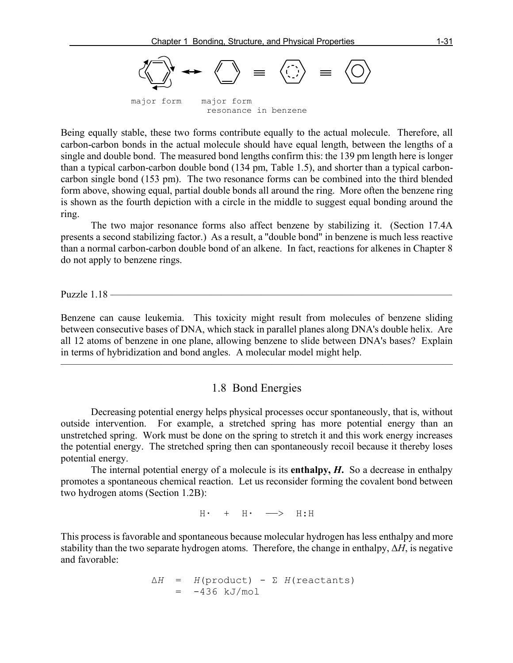

Being equally stable, these two forms contribute equally to the actual molecule. Therefore, all carbon-carbon bonds in the actual molecule should have equal length, between the lengths of a single and double bond. The measured bond lengths confirm this: the 139 pm length here is longer than a typical carbon-carbon double bond (134 pm, Table 1.5), and shorter than a typical carboncarbon single bond (153 pm). The two resonance forms can be combined into the third blended form above, showing equal, partial double bonds all around the ring. More often the benzene ring is shown as the fourth depiction with a circle in the middle to suggest equal bonding around the ring.

The two major resonance forms also affect benzene by stabilizing it. (Section 17.4A presents a second stabilizing factor.) As a result, a "double bond" in benzene is much less reactive than a normal carbon-carbon double bond of an alkene. In fact, reactions for alkenes in Chapter 8 do not apply to benzene rings.

Puzzle  $1.18$  —

Benzene can cause leukemia. This toxicity might result from molecules of benzene sliding between consecutive bases of DNA, which stack in parallel planes along DNA's double helix. Are all 12 atoms of benzene in one plane, allowing benzene to slide between DNA's bases? Explain in terms of hybridization and bond angles. A molecular model might help.

# 1.8 Bond Energies

 $\overline{\phantom{a}}$  , and the contract of the contract of  $\overline{\phantom{a}}$ 

Decreasing potential energy helps physical processes occur spontaneously, that is, without outside intervention. For example, a stretched spring has more potential energy than an unstretched spring. Work must be done on the spring to stretch it and this work energy increases the potential energy. The stretched spring then can spontaneously recoil because it thereby loses potential energy.

The internal potential energy of a molecule is its **enthalpy,** *H***.** So a decrease in enthalpy promotes a spontaneous chemical reaction. Let us reconsider forming the covalent bond between two hydrogen atoms (Section 1.2B):

 $H \cdot + H \cdot \longrightarrow H$ : H

This process is favorable and spontaneous because molecular hydrogen has less enthalpy and more stability than the two separate hydrogen atoms. Therefore, the change in enthalpy, Δ*H*, is negative and favorable:

$$
\Delta H = H(\text{product}) - \Sigma H(\text{reactants})
$$
  
= -436 kJ/mol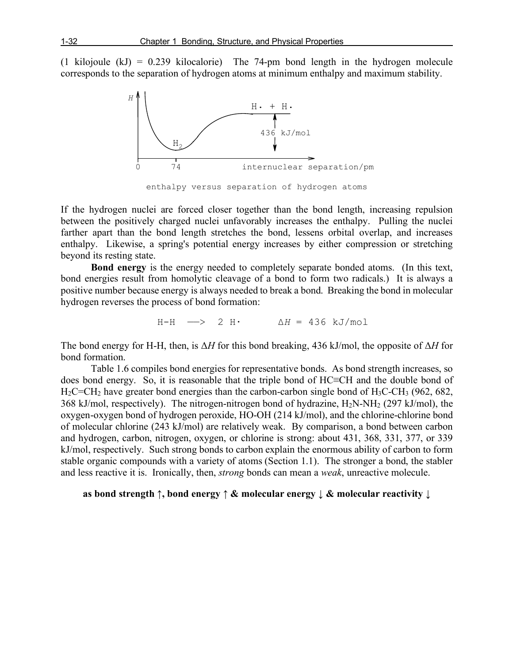(1 kilojoule (kJ) = 0.239 kilocalorie) The 74-pm bond length in the hydrogen molecule corresponds to the separation of hydrogen atoms at minimum enthalpy and maximum stability.



enthalpy versus separation of hydrogen atoms

If the hydrogen nuclei are forced closer together than the bond length, increasing repulsion between the positively charged nuclei unfavorably increases the enthalpy. Pulling the nuclei farther apart than the bond length stretches the bond, lessens orbital overlap, and increases enthalpy. Likewise, a spring's potential energy increases by either compression or stretching beyond its resting state.

**Bond energy** is the energy needed to completely separate bonded atoms. (In this text, bond energies result from homolytic cleavage of a bond to form two radicals.) It is always a positive number because energy is always needed to break a bond. Breaking the bond in molecular hydrogen reverses the process of bond formation:

$$
H-H \quad \longrightarrow \quad 2 \quad H \cdot \qquad \qquad \Delta H = 436 \quad kJ/mol
$$

The bond energy for H-H, then, is Δ*H* for this bond breaking, 436 kJ/mol, the opposite of Δ*H* for bond formation.

Table 1.6 compiles bond energies for representative bonds. As bond strength increases, so does bond energy. So, it is reasonable that the triple bond of HC≡CH and the double bond of  $H_2C=CH_2$  have greater bond energies than the carbon-carbon single bond of  $H_3C-CH_3$  (962, 682, 368 kJ/mol, respectively). The nitrogen-nitrogen bond of hydrazine,  $H_2N-NH_2$  (297 kJ/mol), the oxygen-oxygen bond of hydrogen peroxide, HO-OH (214 kJ/mol), and the chlorine-chlorine bond of molecular chlorine (243 kJ/mol) are relatively weak. By comparison, a bond between carbon and hydrogen, carbon, nitrogen, oxygen, or chlorine is strong: about 431, 368, 331, 377, or 339 kJ/mol, respectively. Such strong bonds to carbon explain the enormous ability of carbon to form stable organic compounds with a variety of atoms (Section 1.1). The stronger a bond, the stabler and less reactive it is. Ironically, then, *strong* bonds can mean a *weak*, unreactive molecule.

## **as bond strength ↑, bond energy ↑ & molecular energy ↓ & molecular reactivity ↓**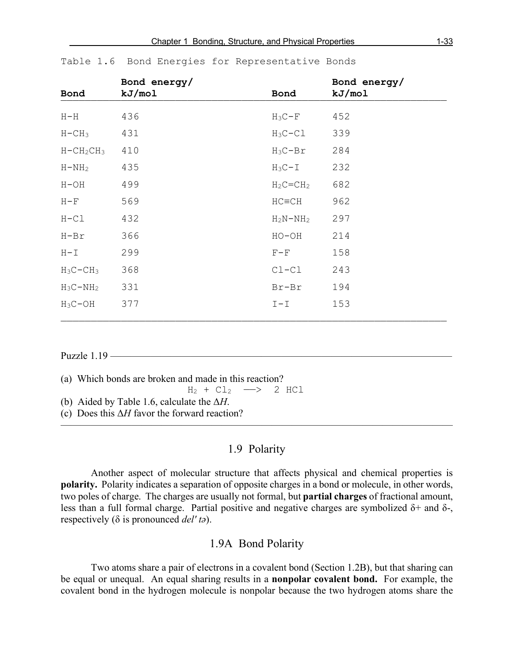| Bond         | Bond energy/<br>kJ/mol | Bond        | Bond energy/<br>kJ/mol |
|--------------|------------------------|-------------|------------------------|
| $H-H$        | 436                    | $H_3C-F$    | 452                    |
| $H-CH3$      | 431                    | $H_3C-C1$   | 339                    |
| $H - CH2CH3$ | 410                    | $H_3C-Br$   | 284                    |
| $H - NH2$    | 435                    | $H_3C-I$    | 232                    |
| $H-OH$       | 499                    | $H_2C=CH_2$ | 682                    |
| $H - F$      | 569                    | $HC=CH$     | 962                    |
| $H-Cl$       | 432                    | $H_2N-NH_2$ | 297                    |
| $H-Br$       | 366                    | $HO-OH$     | 214                    |
| $H - I$      | 299                    | $F - F$     | 158                    |
| $H_3C-CH_3$  | 368                    | $CL-CL$     | 243                    |
| $H_3C-NH_2$  | 331                    | Br-Br       | 194                    |
| $H_3C-OH$    | 377                    | $I-I$       | 153                    |

————————————————————————————————————————————————————————————————

#### Table 1.6 Bond Energies for Representative Bonds

#### Puzzle 1 19 –

(a) Which bonds are broken and made in this reaction?

 $H_2 + Cl_2 \longrightarrow 2 HCl$ 

- (b) Aided by Table 1.6, calculate the Δ*H*.
- (c) Does this Δ*H* favor the forward reaction?

# 1.9 Polarity

———————————————————————————————————————

Another aspect of molecular structure that affects physical and chemical properties is **polarity.** Polarity indicates a separation of opposite charges in a bond or molecule, in other words, two poles of charge. The charges are usually not formal, but **partial charges** of fractional amount, less than a full formal charge. Partial positive and negative charges are symbolized  $\delta$ + and  $\delta$ -, respectively (δ is pronounced *del' tə*).

#### 1.9A Bond Polarity

Two atoms share a pair of electrons in a covalent bond (Section 1.2B), but that sharing can be equal or unequal. An equal sharing results in a **nonpolar covalent bond.** For example, the covalent bond in the hydrogen molecule is nonpolar because the two hydrogen atoms share the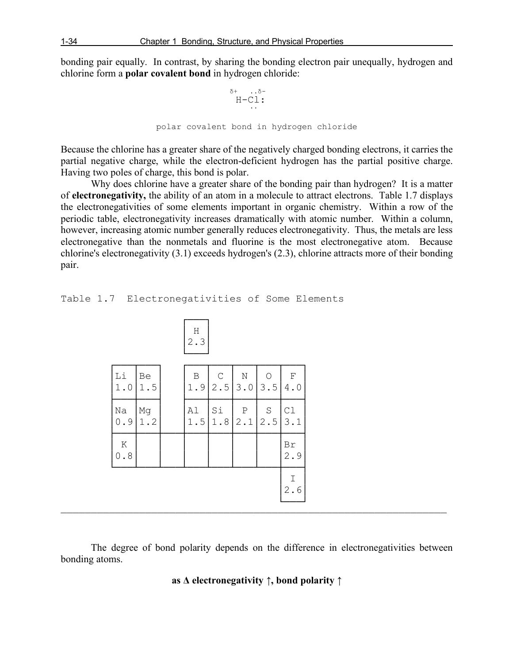bonding pair equally. In contrast, by sharing the bonding electron pair unequally, hydrogen and chlorine form a **polar covalent bond** in hydrogen chloride:

$$
\begin{array}{cc}\n & \delta^+ & \delta^- \\
 & \text{H-Cl} : \\
 & \ddots \\
 & & \text{polar covalent bond in hydrogen chloride}\n\end{array}
$$

Because the chlorine has a greater share of the negatively charged bonding electrons, it carries the partial negative charge, while the electron-deficient hydrogen has the partial positive charge. Having two poles of charge, this bond is polar.

Why does chlorine have a greater share of the bonding pair than hydrogen? It is a matter of **electronegativity,** the ability of an atom in a molecule to attract electrons. Table 1.7 displays the electronegativities of some elements important in organic chemistry. Within a row of the periodic table, electronegativity increases dramatically with atomic number. Within a column, however, increasing atomic number generally reduces electronegativity. Thus, the metals are less electronegative than the nonmetals and fluorine is the most electronegative atom. Because chlorine's electronegativity (3.1) exceeds hydrogen's (2.3), chlorine attracts more of their bonding pair.

Table 1.7 Electronegativities of Some Elements

|                   |           | H<br>2.3  |                     |                                                        |                            |                    |
|-------------------|-----------|-----------|---------------------|--------------------------------------------------------|----------------------------|--------------------|
| $\rm Li$<br>$1.0$ | Be<br>1.5 | B<br>1.9  | $\mathsf{C}$<br>2.5 | $\mathbf N$<br>3.0                                     | 3.5                        | $\mathbf F$<br>4.0 |
| Na<br>0.9         | Mg<br>1.2 | A1<br>1.5 | Si<br>1.8           | $\left  \begin{array}{c} P \\ 2.1 \end{array} \right $ | $\operatorname{S}$<br> 2.5 | C1<br>3.1          |
| Κ<br>$0.8$        |           |           |                     |                                                        |                            | Br<br>2.9          |
|                   |           |           |                     |                                                        |                            | Ι<br>2.6           |

The degree of bond polarity depends on the difference in electronegativities between bonding atoms.

————————————————————————————————————————————————————————————————

## **as Δ electronegativity ↑, bond polarity ↑**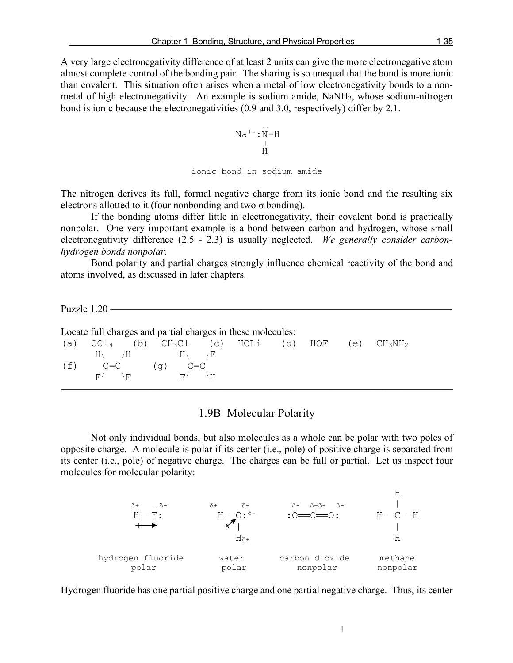A very large electronegativity difference of at least 2 units can give the more electronegative atom almost complete control of the bonding pair. The sharing is so unequal that the bond is more ionic than covalent. This situation often arises when a metal of low electronegativity bonds to a nonmetal of high electronegativity. An example is sodium amide, NaNH2, whose sodium-nitrogen bond is ionic because the electronegativities (0.9 and 3.0, respectively) differ by 2.1.

$$
Na^{+-}:N-H
$$
  
\n
$$
\vdots
$$
  
\n
$$
\vdots
$$
  
\n
$$
\vdots
$$
  
\n
$$
\vdots
$$
  
\n
$$
\vdots
$$
  
\n
$$
\vdots
$$
  
\n
$$
\vdots
$$
  
\n
$$
\vdots
$$
  
\n
$$
\vdots
$$
  
\n
$$
\vdots
$$
  
\n
$$
\vdots
$$
  
\n
$$
\vdots
$$
  
\n
$$
\vdots
$$
  
\n
$$
\vdots
$$
  
\n
$$
\vdots
$$
  
\n
$$
\vdots
$$
  
\n
$$
\vdots
$$
  
\n
$$
\vdots
$$
  
\n
$$
\vdots
$$
  
\n
$$
\vdots
$$
  
\n
$$
\vdots
$$
  
\n
$$
\vdots
$$
  
\n
$$
\vdots
$$
  
\n
$$
\vdots
$$
  
\n
$$
\vdots
$$
  
\n
$$
\vdots
$$
  
\n
$$
\vdots
$$
  
\n
$$
\vdots
$$
  
\n
$$
\vdots
$$
  
\n
$$
\vdots
$$
  
\n
$$
\vdots
$$
  
\n
$$
\vdots
$$
  
\n
$$
\vdots
$$
  
\n
$$
\vdots
$$
  
\n
$$
\vdots
$$
  
\n
$$
\vdots
$$
  
\n
$$
\vdots
$$
  
\n
$$
\vdots
$$
  
\n
$$
\vdots
$$
  
\n
$$
\vdots
$$
  
\n
$$
\vdots
$$
  
\n
$$
\vdots
$$
  
\n
$$
\vdots
$$
  
\n
$$
\vdots
$$
  
\n
$$
\vdots
$$
  
\n
$$
\vdots
$$
  
\n
$$
\vdots
$$
  
\n
$$
\vdots
$$
  
\n
$$
\vdots
$$
  
\n
$$
\vdots
$$
  
\n
$$
\vdots
$$
  
\n
$$
\vdots
$$
  
\n
$$
\vdots
$$
  
\n<math display="block</math>

The nitrogen derives its full, formal negative charge from its ionic bond and the resulting six electrons allotted to it (four nonbonding and two  $\sigma$  bonding).

If the bonding atoms differ little in electronegativity, their covalent bond is practically nonpolar. One very important example is a bond between carbon and hydrogen, whose small electronegativity difference (2.5 - 2.3) is usually neglected. *We generally consider carbonhydrogen bonds nonpolar*.

Bond polarity and partial charges strongly influence chemical reactivity of the bond and atoms involved, as discussed in later chapters.

Puzzle  $1.20$  —

| Locate full charges and partial charges in these molecules: |                         |      |                       |  |  |  |         |     |        |  |
|-------------------------------------------------------------|-------------------------|------|-----------------------|--|--|--|---------|-----|--------|--|
| (a)                                                         | CCI <sub>4</sub>        |      | (b) $CH_3Cl$ (c) HOLi |  |  |  | (d) HOF | (e) | CH3NH2 |  |
|                                                             | $H \setminus \qquad /H$ |      | H١                    |  |  |  |         |     |        |  |
|                                                             | $C = C$                 |      | $C = C$<br>$(\sigma)$ |  |  |  |         |     |        |  |
|                                                             | F/                      | 八円 一 | F/                    |  |  |  |         |     |        |  |
|                                                             |                         |      |                       |  |  |  |         |     |        |  |

### 1.9B Molecular Polarity

Not only individual bonds, but also molecules as a whole can be polar with two poles of opposite charge. A molecule is polar if its center (i.e., pole) of positive charge is separated from its center (i.e., pole) of negative charge. The charges can be full or partial. Let us inspect four molecules for molecular polarity:



Hydrogen fluoride has one partial positive charge and one partial negative charge. Thus, its center

 $\overline{\phantom{a}}$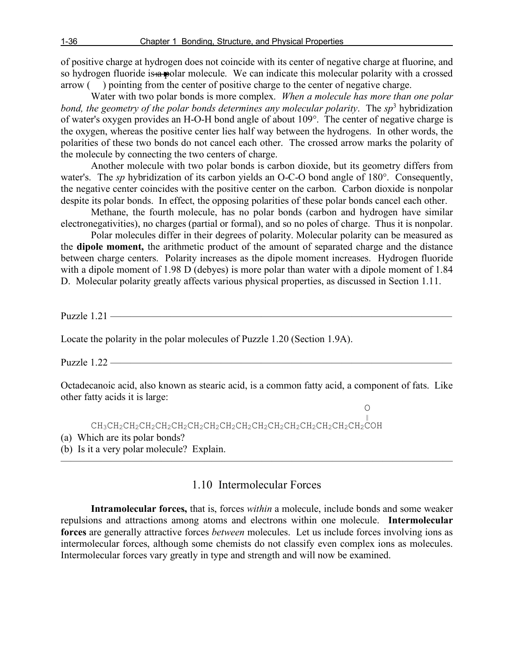of positive charge at hydrogen does not coincide with its center of negative charge at fluorine, and so hydrogen fluoride is a polar molecule. We can indicate this molecular polarity with a crossed arrow ( ) pointing from the center of positive charge to the center of negative charge.

Water with two polar bonds is more complex. *When a molecule has more than one polar bond, the geometry of the polar bonds determines any molecular polarity. The*  $sp^3$  *hybridization* of water's oxygen provides an H-O-H bond angle of about 109°. The center of negative charge is the oxygen, whereas the positive center lies half way between the hydrogens. In other words, the polarities of these two bonds do not cancel each other. The crossed arrow marks the polarity of the molecule by connecting the two centers of charge.

Another molecule with two polar bonds is carbon dioxide, but its geometry differs from water's. The *sp* hybridization of its carbon yields an O-C-O bond angle of 180°. Consequently, the negative center coincides with the positive center on the carbon. Carbon dioxide is nonpolar despite its polar bonds. In effect, the opposing polarities of these polar bonds cancel each other.

Methane, the fourth molecule, has no polar bonds (carbon and hydrogen have similar electronegativities), no charges (partial or formal), and so no poles of charge. Thus it is nonpolar.

Polar molecules differ in their degrees of polarity. Molecular polarity can be measured as the **dipole moment,** the arithmetic product of the amount of separated charge and the distance between charge centers. Polarity increases as the dipole moment increases. Hydrogen fluoride with a dipole moment of 1.98 D (debyes) is more polar than water with a dipole moment of 1.84 D. Molecular polarity greatly affects various physical properties, as discussed in Section 1.11.

Puzzle  $1.21$  —

Locate the polarity in the polar molecules of Puzzle 1.20 (Section 1.9A).

Puzzle 1.22 ——————

Octadecanoic acid, also known as stearic acid, is a common fatty acid, a component of fats. Like other fatty acids it is large:

 $\begin{array}{c}\n0 \\
\parallel\n\end{array}$  CH3CH2CH2CH2CH2CH2CH2CH2CH2CH2CH2CH2CH2CH2CH2CH2CH2COH (a) Which are its polar bonds? (b) Is it a very polar molecule? Explain. ———————————————————————————————————————

1.10 Intermolecular Forces

**Intramolecular forces,** that is, forces *within* a molecule, include bonds and some weaker repulsions and attractions among atoms and electrons within one molecule. **Intermolecular forces** are generally attractive forces *between* molecules. Let us include forces involving ions as intermolecular forces, although some chemists do not classify even complex ions as molecules. Intermolecular forces vary greatly in type and strength and will now be examined.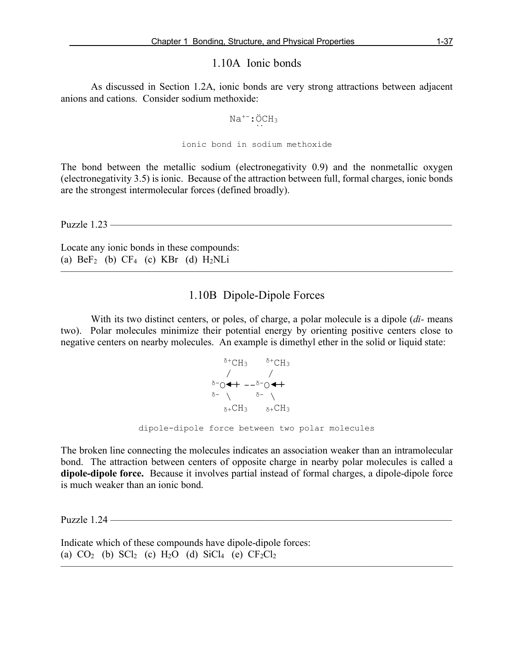## 1.10A Ionic bonds

As discussed in Section 1.2A, ionic bonds are very strong attractions between adjacent anions and cations. Consider sodium methoxide:

$$
\text{Na}^{+-} : \overset{\circ}{\text{OCH}}_3
$$

#### ionic bond in sodium methoxide

The bond between the metallic sodium (electronegativity 0.9) and the nonmetallic oxygen (electronegativity 3.5) is ionic. Because of the attraction between full, formal charges, ionic bonds are the strongest intermolecular forces (defined broadly).

Puzzle 1.23 ——————————————————————————————————

Locate any ionic bonds in these compounds: (a)  $BeF_2$  (b)  $CF_4$  (c)  $KBr$  (d)  $H_2NLi$ 

# 1.10B Dipole-Dipole Forces

———————————————————————————————————————

With its two distinct centers, or poles, of charge, a polar molecule is a dipole (*di-* means two). Polar molecules minimize their potential energy by orienting positive centers close to negative centers on nearby molecules. An example is dimethyl ether in the solid or liquid state:

$$
\begin{array}{cc}\n\delta^{+}CH_{3} & \delta^{+}CH_{3} \\
\hspace{2.5cm}\nearrow & \nearrow \\
\delta^{-}O \blacktriangleleft + -\delta^{-}O \blacktriangleleft + \\
\delta^{-} \searrow & \delta^{-} \searrow \\
\delta^{+}CH_{3} & \delta^{+}CH_{3} \\
\text{dipole-dipole force between two polar molecules}\n\end{array}
$$

The broken line connecting the molecules indicates an association weaker than an intramolecular bond. The attraction between centers of opposite charge in nearby polar molecules is called a **dipole-dipole force.** Because it involves partial instead of formal charges, a dipole-dipole force is much weaker than an ionic bond.

———————————————————————————————————————

Puzzle  $1.24$  —

Indicate which of these compounds have dipole-dipole forces: (a)  $CO_2$  (b)  $SCl_2$  (c)  $H_2O$  (d)  $SiCl_4$  (e)  $CF_2Cl_2$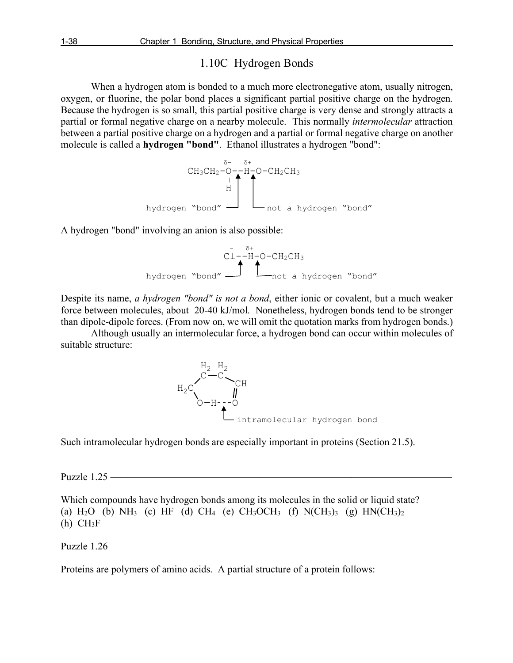# 1.10C Hydrogen Bonds

When a hydrogen atom is bonded to a much more electronegative atom, usually nitrogen, oxygen, or fluorine, the polar bond places a significant partial positive charge on the hydrogen. Because the hydrogen is so small, this partial positive charge is very dense and strongly attracts a partial or formal negative charge on a nearby molecule. This normally *intermolecular* attraction between a partial positive charge on a hydrogen and a partial or formal negative charge on another molecule is called a **hydrogen "bond"**. Ethanol illustrates a hydrogen "bond":



A hydrogen "bond" involving an anion is also possible:

$$
C1 - H - O - CH_2CH_3
$$
\nhydrogen "bond"  $\longrightarrow$ 

\nnot a hydrogen "bond"

Despite its name, *a hydrogen "bond" is not a bond*, either ionic or covalent, but a much weaker force between molecules, about 20-40 kJ/mol. Nonetheless, hydrogen bonds tend to be stronger than dipole-dipole forces. (From now on, we will omit the quotation marks from hydrogen bonds.)

Although usually an intermolecular force, a hydrogen bond can occur within molecules of suitable structure:



Such intramolecular hydrogen bonds are especially important in proteins (Section 21.5).

Puzzle 1.25 ——————————————————————————————————

Which compounds have hydrogen bonds among its molecules in the solid or liquid state? (a)  $H_2O$  (b)  $NH_3$  (c) HF (d) CH<sub>4</sub> (e) CH<sub>3</sub>OCH<sub>3</sub> (f) N(CH<sub>3</sub>)<sub>3</sub> (g) HN(CH<sub>3</sub>)<sub>2</sub>  $(h)$  CH<sub>3</sub>F

Puzzle 1.26 ——————————————————————————————————

Proteins are polymers of amino acids. A partial structure of a protein follows: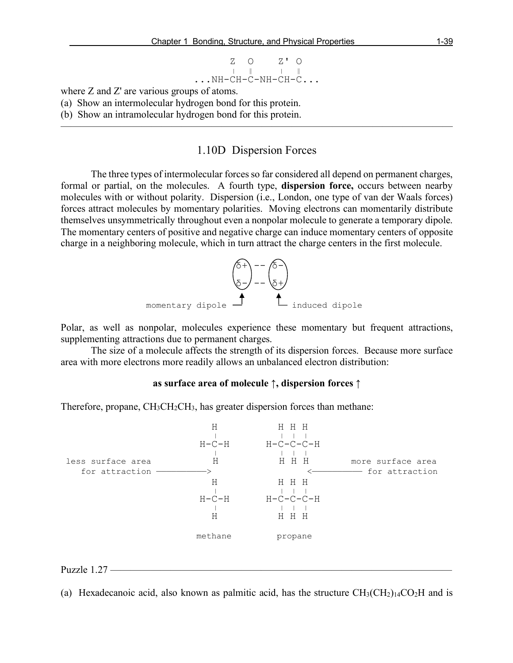$$
\begin{array}{cccc}\n & \text{Z} & \text{O} & \text{Z'} & \text{O} \\
 & \downarrow & \parallel & \parallel & \parallel \\
 & \ddots & \text{NH}-\text{CH}-\text{C}-\text{NH}-\text{CH}-\text{C}\dots\n\end{array}
$$

where Z and Z' are various groups of atoms.

(a) Show an intermolecular hydrogen bond for this protein.

(b) Show an intramolecular hydrogen bond for this protein.

### 1.10D Dispersion Forces

———————————————————————————————————————

The three types of intermolecular forces so far considered all depend on permanent charges, formal or partial, on the molecules. A fourth type, **dispersion force,** occurs between nearby molecules with or without polarity. Dispersion (i.e., London, one type of van der Waals forces) forces attract molecules by momentary polarities. Moving electrons can momentarily distribute themselves unsymmetrically throughout even a nonpolar molecule to generate a temporary dipole. The momentary centers of positive and negative charge can induce momentary centers of opposite charge in a neighboring molecule, which in turn attract the charge centers in the first molecule.



Polar, as well as nonpolar, molecules experience these momentary but frequent attractions, supplementing attractions due to permanent charges.

The size of a molecule affects the strength of its dispersion forces. Because more surface area with more electrons more readily allows an unbalanced electron distribution:

#### **as surface area of molecule ↑, dispersion forces ↑**

Therefore, propane, CH<sub>3</sub>CH<sub>2</sub>CH<sub>3</sub>, has greater dispersion forces than methane:



Puzzle 1.27 –

(a) Hexadecanoic acid, also known as palmitic acid, has the structure  $CH_3(CH_2)_{14}CO_2H$  and is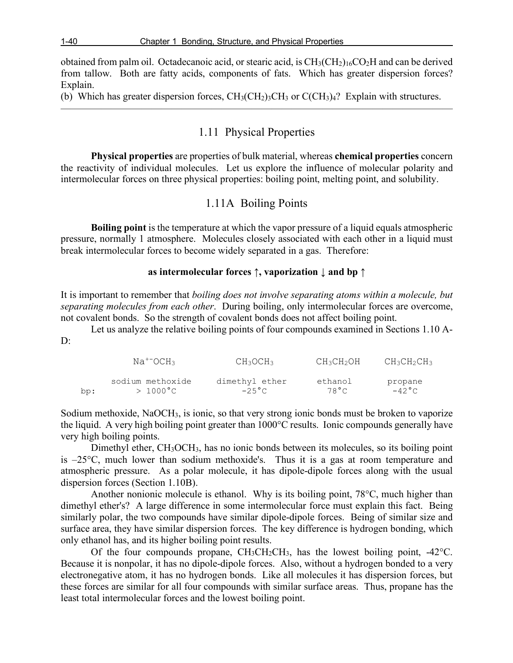obtained from palm oil. Octadecanoic acid, or stearic acid, is  $CH<sub>3</sub>(CH<sub>3</sub>)<sub>16</sub>CO<sub>2</sub>H$  and can be derived from tallow. Both are fatty acids, components of fats. Which has greater dispersion forces? Explain.

(b) Which has greater dispersion forces,  $CH_3(CH_2)_3CH_3$  or  $C(CH_3)_4$ ? Explain with structures.

# 1.11 Physical Properties

———————————————————————————————————————

**Physical properties** are properties of bulk material, whereas **chemical properties** concern the reactivity of individual molecules. Let us explore the influence of molecular polarity and intermolecular forces on three physical properties: boiling point, melting point, and solubility.

# 1.11A Boiling Points

**Boiling point** is the temperature at which the vapor pressure of a liquid equals atmospheric pressure, normally 1 atmosphere. Molecules closely associated with each other in a liquid must break intermolecular forces to become widely separated in a gas. Therefore:

#### **as intermolecular forces ↑, vaporization ↓ and bp ↑**

It is important to remember that *boiling does not involve separating atoms within a molecule, but separating molecules from each other*. During boiling, only intermolecular forces are overcome, not covalent bonds. So the strength of covalent bonds does not affect boiling point.

Let us analyze the relative boiling points of four compounds examined in Sections 1.10 A-D:

|     | $Na^{+-}OCH_3$   | CH <sub>3</sub> OCH <sub>3</sub> | CH3CH2OH | $CH3CH2CH3$     |
|-----|------------------|----------------------------------|----------|-----------------|
| bp: | sodium methoxide | dimethyl ether                   | ethanol  | propane         |
|     | $>1000\degree$ C | $-25^{\circ}$ C                  | 78°C     | $-42^{\circ}$ C |

Sodium methoxide, NaOCH<sub>3</sub>, is ionic, so that very strong ionic bonds must be broken to vaporize the liquid. A very high boiling point greater than 1000°C results. Ionic compounds generally have very high boiling points.

Dimethyl ether, CH<sub>3</sub>OCH<sub>3</sub>, has no ionic bonds between its molecules, so its boiling point is –25°C, much lower than sodium methoxide's. Thus it is a gas at room temperature and atmospheric pressure. As a polar molecule, it has dipole-dipole forces along with the usual dispersion forces (Section 1.10B).

Another nonionic molecule is ethanol. Why is its boiling point, 78°C, much higher than dimethyl ether's? A large difference in some intermolecular force must explain this fact. Being similarly polar, the two compounds have similar dipole-dipole forces. Being of similar size and surface area, they have similar dispersion forces. The key difference is hydrogen bonding, which only ethanol has, and its higher boiling point results.

Of the four compounds propane,  $CH_3CH_2CH_3$ , has the lowest boiling point,  $-42^{\circ}$ C. Because it is nonpolar, it has no dipole-dipole forces. Also, without a hydrogen bonded to a very electronegative atom, it has no hydrogen bonds. Like all molecules it has dispersion forces, but these forces are similar for all four compounds with similar surface areas. Thus, propane has the least total intermolecular forces and the lowest boiling point.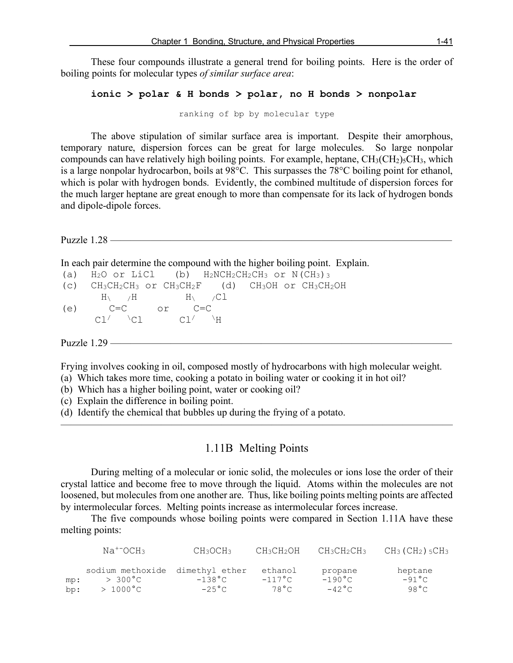These four compounds illustrate a general trend for boiling points. Here is the order of boiling points for molecular types *of similar surface area*:

#### **ionic > polar & H bonds > polar, no H bonds > nonpolar**

ranking of bp by molecular type

The above stipulation of similar surface area is important. Despite their amorphous, temporary nature, dispersion forces can be great for large molecules. So large nonpolar compounds can have relatively high boiling points. For example, heptane,  $CH<sub>3</sub>(CH<sub>2</sub>)<sub>5</sub>CH<sub>3</sub>$ , which is a large nonpolar hydrocarbon, boils at 98°C. This surpasses the 78°C boiling point for ethanol, which is polar with hydrogen bonds. Evidently, the combined multitude of dispersion forces for the much larger heptane are great enough to more than compensate for its lack of hydrogen bonds and dipole-dipole forces.

Puzzle 1.28 — In each pair determine the compound with the higher boiling point. Explain. (a)  $H_2O$  or LiCl (b)  $H_2NCH_2CH_2CH_3$  or  $N(CH_3)$ <sub>3</sub> (c) CH3CH2CH3 or CH3CH2F (d) CH3OH or CH3CH2OH  $H\setminus$  /H  $H\setminus$  /Cl (e)  $C=C$  or  $C=C$ <br> $C1 / C1$   $C1 / C1$  $Cl' \qquad \text{Cl}$ Puzzle  $1.29$  —— Frying involves cooking in oil, composed mostly of hydrocarbons with high molecular weight. (a) Which takes more time, cooking a potato in boiling water or cooking it in hot oil?

- (b) Which has a higher boiling point, water or cooking oil?
- (c) Explain the difference in boiling point.
- (d) Identify the chemical that bubbles up during the frying of a potato.

## 1.11B Melting Points

 $\overline{\phantom{a}}$  , and the contract of the contract of  $\overline{\phantom{a}}$ 

During melting of a molecular or ionic solid, the molecules or ions lose the order of their crystal lattice and become free to move through the liquid. Atoms within the molecules are not loosened, but molecules from one another are. Thus, like boiling points melting points are affected by intermolecular forces. Melting points increase as intermolecular forces increase.

The five compounds whose boiling points were compared in Section 1.11A have these melting points:

|        | $Na^{+-}OCH_3$                  | CH3OCH3          | CH3CH2OH         | CH3CH2CH3        | $CH3$ (CH <sub>2</sub> ) $5CH3$ |
|--------|---------------------------------|------------------|------------------|------------------|---------------------------------|
|        | sodium methoxide dimethyl ether |                  | ethanol          | propane          | heptane                         |
| $m$ p: | $> 300^{\circ}$ C               | $-138^{\circ}$ C | $-117^{\circ}$ C | $-190^{\circ}$ C | $-91 °C$                        |
| bp:    | $>1000^{\circ}$ C               | $-25^{\circ}$ C  | 78°C             | $-42^{\circ}$ C  | 98 ° C                          |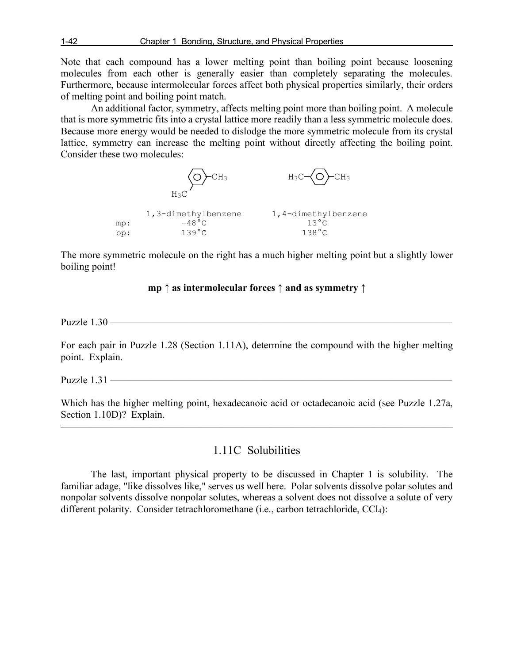1-42 Chapter 1 Bonding, Structure, and Physical Properties

Note that each compound has a lower melting point than boiling point because loosening molecules from each other is generally easier than completely separating the molecules. Furthermore, because intermolecular forces affect both physical properties similarly, their orders of melting point and boiling point match.

An additional factor, symmetry, affects melting point more than boiling point. A molecule that is more symmetric fits into a crystal lattice more readily than a less symmetric molecule does. Because more energy would be needed to dislodge the more symmetric molecule from its crystal lattice, symmetry can increase the melting point without directly affecting the boiling point. Consider these two molecules:



The more symmetric molecule on the right has a much higher melting point but a slightly lower boiling point!

**mp ↑ as intermolecular forces ↑ and as symmetry ↑**

Puzzle  $1.30$  —

For each pair in Puzzle 1.28 (Section 1.11A), determine the compound with the higher melting point. Explain.

Puzzle  $1.31$  ——

Which has the higher melting point, hexadecanoic acid or octadecanoic acid (see Puzzle 1.27a, Section 1.10D)? Explain.

 $\overline{\phantom{a}}$  , and the contract of the contract of  $\overline{\phantom{a}}$ 

# 1.11C Solubilities

The last, important physical property to be discussed in Chapter 1 is solubility. The familiar adage, "like dissolves like," serves us well here. Polar solvents dissolve polar solutes and nonpolar solvents dissolve nonpolar solutes, whereas a solvent does not dissolve a solute of very different polarity. Consider tetrachloromethane (i.e., carbon tetrachloride, CCl<sub>4</sub>):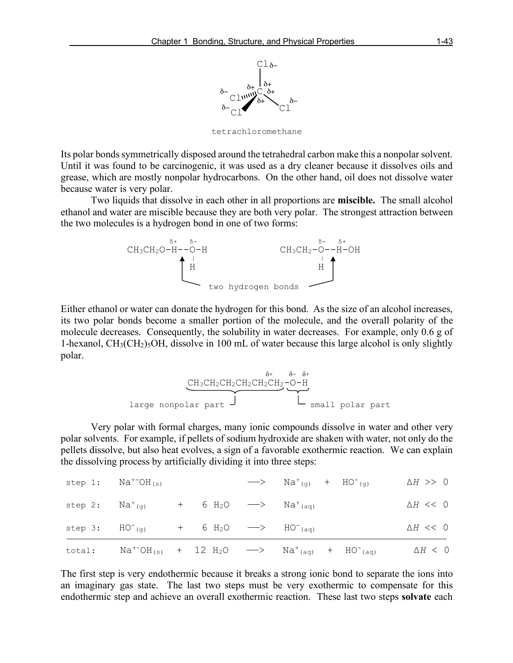

tetrachloromethane

Its polar bonds symmetrically disposed around the tetrahedral carbon make this a nonpolar solvent. Until it was found to be carcinogenic, it was used as a dry cleaner because it dissolves oils and grease, which are mostly nonpolar hydrocarbons. On the other hand, oil does not dissolve water because water is very polar.

Two liquids that dissolve in each other in all proportions are **miscible.** The small alcohol ethanol and water are miscible because they are both very polar. The strongest attraction between the two molecules is a hydrogen bond in one of two forms:



Either ethanol or water can donate the hydrogen for this bond. As the size of an alcohol increases, its two polar bonds become a smaller portion of the molecule, and the overall polarity of the molecule decreases. Consequently, the solubility in water decreases. For example, only 0.6 g of 1-hexanol,  $CH<sub>3</sub>(CH<sub>2</sub>)<sub>5</sub>OH$ , dissolve in 100 mL of water because this large alcohol is only slightly polar.

$$
\underbrace{\text{CH}_3\text{CH}_2\text{CH}_2\text{CH}_2\text{CH}_2\text{CH}_2-\text{O-H}}_{\text{large nonpolar part}}
$$

Very polar with formal charges, many ionic compounds dissolve in water and other very polar solvents. For example, if pellets of sodium hydroxide are shaken with water, not only do the pellets dissolve, but also heat evolves, a sign of a favorable exothermic reaction. We can explain the dissolving process by artificially dividing it into three steps:

| total: |                                         |  |                                                                        | $\text{Na}^{+} \text{OH}_{(s)}$ + 12 H <sub>2</sub> O $\longrightarrow$ $\text{Na}^{+}{}_{(aq)}$ + HO <sup>-</sup> (aq) | $\Delta H$ < 0   |
|--------|-----------------------------------------|--|------------------------------------------------------------------------|-------------------------------------------------------------------------------------------------------------------------|------------------|
|        | step $3:$ $HO^{-}(q)$                   |  | $+$ 6 H <sub>2</sub> O $\longrightarrow$ HO <sup>-</sup> (aq)          |                                                                                                                         | $\Delta H << 0$  |
|        | step 2: $Na^{+}(q)$                     |  | + 6 H <sub>2</sub> O $\longrightarrow$ Na <sup>+</sup> <sub>(aq)</sub> |                                                                                                                         | $\Delta H << 0$  |
|        | step 1: $\text{Na}^{+} \text{OH}_{(s)}$ |  |                                                                        | $\longrightarrow$ Na <sup>+</sup> <sub>(g)</sub> + HO <sup>-</sup> <sub>(g)</sub>                                       | $\Delta H \gg 0$ |

The first step is very endothermic because it breaks a strong ionic bond to separate the ions into an imaginary gas state. The last two steps must be very exothermic to compensate for this endothermic step and achieve an overall exothermic reaction. These last two steps **solvate** each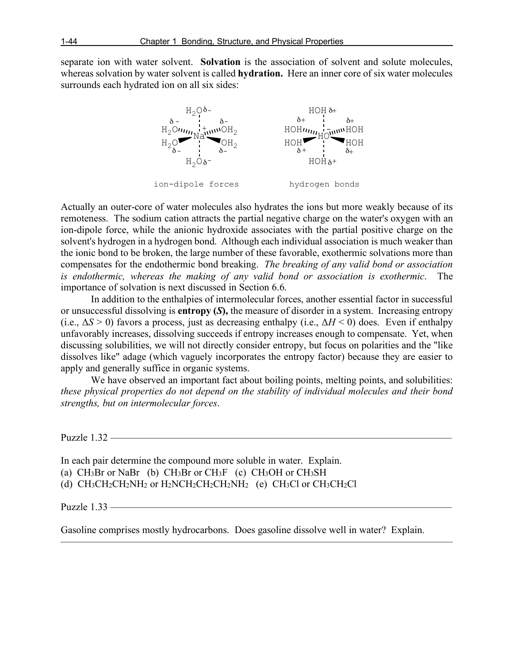separate ion with water solvent. **Solvation** is the association of solvent and solute molecules, whereas solvation by water solvent is called **hydration.** Here an inner core of six water molecules surrounds each hydrated ion on all six sides:



Actually an outer-core of water molecules also hydrates the ions but more weakly because of its remoteness. The sodium cation attracts the partial negative charge on the water's oxygen with an ion-dipole force, while the anionic hydroxide associates with the partial positive charge on the solvent's hydrogen in a hydrogen bond. Although each individual association is much weaker than the ionic bond to be broken, the large number of these favorable, exothermic solvations more than compensates for the endothermic bond breaking. *The breaking of any valid bond or association is endothermic, whereas the making of any valid bond or association is exothermic*. The importance of solvation is next discussed in Section 6.6.

In addition to the enthalpies of intermolecular forces, another essential factor in successful or unsuccessful dissolving is **entropy (***S***),** the measure of disorder in a system. Increasing entropy (i.e.,  $\Delta S > 0$ ) favors a process, just as decreasing enthalpy (i.e.,  $\Delta H < 0$ ) does. Even if enthalpy unfavorably increases, dissolving succeeds if entropy increases enough to compensate. Yet, when discussing solubilities, we will not directly consider entropy, but focus on polarities and the "like dissolves like" adage (which vaguely incorporates the entropy factor) because they are easier to apply and generally suffice in organic systems.

We have observed an important fact about boiling points, melting points, and solubilities: *these physical properties do not depend on the stability of individual molecules and their bond strengths, but on intermolecular forces*.

Puzzle 1.32 ————

In each pair determine the compound more soluble in water. Explain. (a)  $CH_3Br$  or NaBr (b)  $CH_3Br$  or  $CH_3F$  (c)  $CH_3OH$  or  $CH_3SH$ (d)  $CH_3CH_2CH_2NH_2$  or  $H_2NCH_2CH_2CH_2NH_2$  (e)  $CH_3Cl$  or  $CH_3CH_2Cl$ 

Puzzle  $1.33$  —

Gasoline comprises mostly hydrocarbons. Does gasoline dissolve well in water? Explain.

———————————————————————————————————————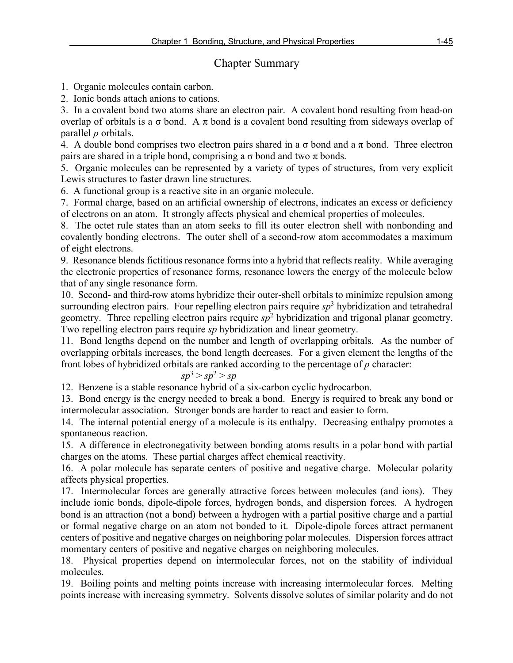# Chapter Summary

1. Organic molecules contain carbon.

2. Ionic bonds attach anions to cations.

3. In a covalent bond two atoms share an electron pair. A covalent bond resulting from head-on overlap of orbitals is a  $\sigma$  bond. A  $\pi$  bond is a covalent bond resulting from sideways overlap of parallel *p* orbitals.

4. A double bond comprises two electron pairs shared in a  $\sigma$  bond and a  $\pi$  bond. Three electron pairs are shared in a triple bond, comprising a  $\sigma$  bond and two  $\pi$  bonds.

5. Organic molecules can be represented by a variety of types of structures, from very explicit Lewis structures to faster drawn line structures.

6. A functional group is a reactive site in an organic molecule.

7. Formal charge, based on an artificial ownership of electrons, indicates an excess or deficiency of electrons on an atom. It strongly affects physical and chemical properties of molecules.

8. The octet rule states than an atom seeks to fill its outer electron shell with nonbonding and covalently bonding electrons. The outer shell of a second-row atom accommodates a maximum of eight electrons.

9. Resonance blends fictitious resonance forms into a hybrid that reflects reality. While averaging the electronic properties of resonance forms, resonance lowers the energy of the molecule below that of any single resonance form.

10. Second- and third-row atoms hybridize their outer-shell orbitals to minimize repulsion among surrounding electron pairs. Four repelling electron pairs require *sp*<sup>3</sup> hybridization and tetrahedral geometry. Three repelling electron pairs require *sp*<sup>2</sup> hybridization and trigonal planar geometry. Two repelling electron pairs require *sp* hybridization and linear geometry.

11. Bond lengths depend on the number and length of overlapping orbitals. As the number of overlapping orbitals increases, the bond length decreases. For a given element the lengths of the front lobes of hybridized orbitals are ranked according to the percentage of *p* character:

$$
sp^3 > sp^2 > sp
$$

12. Benzene is a stable resonance hybrid of a six-carbon cyclic hydrocarbon.

13. Bond energy is the energy needed to break a bond. Energy is required to break any bond or intermolecular association. Stronger bonds are harder to react and easier to form.

14. The internal potential energy of a molecule is its enthalpy. Decreasing enthalpy promotes a spontaneous reaction.

15. A difference in electronegativity between bonding atoms results in a polar bond with partial charges on the atoms. These partial charges affect chemical reactivity.

16. A polar molecule has separate centers of positive and negative charge. Molecular polarity affects physical properties.

17. Intermolecular forces are generally attractive forces between molecules (and ions). They include ionic bonds, dipole-dipole forces, hydrogen bonds, and dispersion forces. A hydrogen bond is an attraction (not a bond) between a hydrogen with a partial positive charge and a partial or formal negative charge on an atom not bonded to it. Dipole-dipole forces attract permanent centers of positive and negative charges on neighboring polar molecules. Dispersion forces attract momentary centers of positive and negative charges on neighboring molecules.

18. Physical properties depend on intermolecular forces, not on the stability of individual molecules.

19. Boiling points and melting points increase with increasing intermolecular forces. Melting points increase with increasing symmetry. Solvents dissolve solutes of similar polarity and do not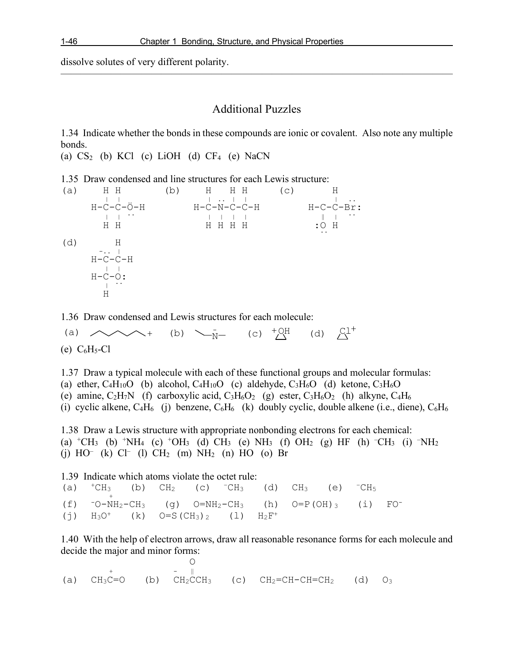dissolve solutes of very different polarity.

## Additional Puzzles

———————————————————————————————————————

1.34 Indicate whether the bonds in these compounds are ionic or covalent. Also note any multiple bonds.

(a)  $CS<sub>2</sub>$  (b) KCl (c) LiOH (d)  $CF<sub>4</sub>$  (e) NaCN

1.35 Draw condensed and line structures for each Lewis structure:

(a)  $H H$  (b)  $H H H$  (c)  $H$ <br> | | | .. | | | ..  $\overrightarrow{C}-\overrightarrow{C}-\overrightarrow{O}-H$   $H-\overrightarrow{C}-N-\overrightarrow{C}-C-H$   $H-\overrightarrow{C}-\overrightarrow{C}-H$  H H H H H H :O H .. (d) H  $-1$ .  $-1$  $H-C-C-H$  $H-C-O:$ H

1.36 Draw condensed and Lewis structures for each molecule:

(e)  $C_6H_5-Cl$ (a)  $\curvearrowright \leftarrow +$  (b)  $\searrow$  (c)  $+$  QH (d)  $\swarrow$  Cl<sup>+</sup>

1.37 Draw a typical molecule with each of these functional groups and molecular formulas: (a) ether,  $C_4H_{10}O$  (b) alcohol,  $C_4H_{10}O$  (c) aldehyde,  $C_3H_6O$  (d) ketone,  $C_3H_6O$ (e) amine,  $C_2H_7N$  (f) carboxylic acid,  $C_3H_6O_2$  (g) ester,  $C_3H_6O_2$  (h) alkyne,  $C_4H_6$ (i) cyclic alkene,  $C_4H_6$  (j) benzene,  $C_6H_6$  (k) doubly cyclic, double alkene (i.e., diene),  $C_6H_6$ 1.38 Draw a Lewis structure with appropriate nonbonding electrons for each chemical:

(a)  $+CH_3$  (b)  $+NH_4$  (c)  $+OH_3$  (d)  $CH_3$  (e)  $NH_3$  (f)  $OH_2$  (g) HF (h)  $-CH_3$  (i)  $-NH_2$  $(j)$  HO<sup>–</sup> (k) Cl<sup>–</sup> (l) CH<sub>2</sub> (m) NH<sub>2</sub> (n) HO (o) Br

1.39 Indicate which atoms violate the octet rule: (a) <sup>+</sup>CH<sub>3</sub> (b) CH<sub>2</sub> (c) <sup>-</sup>CH<sub>3</sub> (d) CH<sub>3</sub> (e) <sup>-</sup>CH<sub>5</sub><br>(f) <sup>-</sup>O-NH<sub>2</sub>-CH<sub>3</sub> (q) O=NH<sub>2</sub>-CH<sub>3</sub> (h) O=P(OH)<sub>3</sub> (i) FO<sup>-</sup> (g)  $O=MH_2-CH_3$  (h) (j)  $H_3O^+$  (k)  $O= S(CH_3)_{2}$  (l)  $H_2F^+$ 

1.40 With the help of electron arrows, draw all reasonable resonance forms for each molecule and decide the major and minor forms:

 O + - ‖ (a)  $CH_3C=O$  (b)  $CH_2CCH_3$  (c)  $CH_2=CH-CH=CH_2$  (d)  $O_3$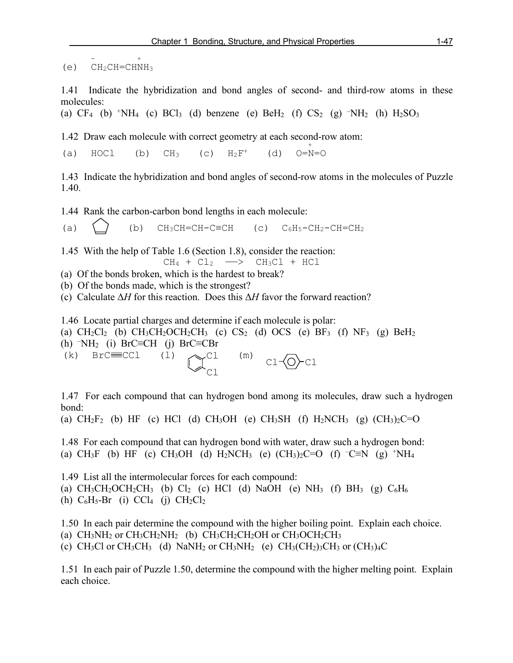-  $+$  +  $-$  +  $+$  $(e)$  CH<sub>2</sub>CH=CHNH<sub>3</sub>

1.41 Indicate the hybridization and bond angles of second- and third-row atoms in these molecules:

(a)  $CF_4$  (b) <sup>+</sup>NH<sub>4</sub> (c) BCl<sub>3</sub> (d) benzene (e) BeH<sub>2</sub> (f) CS<sub>2</sub> (g) <sup>-</sup>NH<sub>2</sub> (h) H<sub>2</sub>SO<sub>3</sub>

1.42 Draw each molecule with correct geometry at each second-row atom:<br>(a)  $\angle$  HOC1 (b) CH<sub>3</sub> (c) H<sub>2</sub>F<sup>+</sup> (d) O=N=O

(a) HOCl (b)  $CH_3$  (c)  $H_2F^+$  (d)  $O=N=O$ 

1.43 Indicate the hybridization and bond angles of second-row atoms in the molecules of Puzzle 1.40.

1.44 Rank the carbon-carbon bond lengths in each molecule:

(a)  $\binom{1}{0}$  (b) CH<sub>3</sub>CH=CH-C≡CH (c) C<sub>6</sub>H<sub>5</sub>-CH<sub>2</sub>-CH=CH<sub>2</sub>

1.45 With the help of Table 1.6 (Section 1.8), consider the reaction:

 $CH_4 + Cl_2 \longrightarrow CH_3Cl + HCl$ 

(a) Of the bonds broken, which is the hardest to break?

(b) Of the bonds made, which is the strongest?

(c) Calculate Δ*H* for this reaction. Does this Δ*H* favor the forward reaction?

1.46 Locate partial charges and determine if each molecule is polar:

(a)  $CH_2Cl_2$  (b)  $CH_3CH_2OCH_2CH_3$  (c)  $CS_2$  (d)  $OCS$  (e)  $BF_3$  (f)  $NF_3$  (g)  $BeH_2$ 

(h) – NH2 (i) BrC≡CH (j) BrC≡CBr

Cl Cl (k) BrC $\equiv$ CCl (l)  $\bigcap_{n=1}^{\infty}$ Cl (m) Cl $\bigcap_{n=1}^{\infty}$ Cl

1.47 For each compound that can hydrogen bond among its molecules, draw such a hydrogen bond:

(a)  $CH_2F_2$  (b) HF (c) HCl (d)  $CH_3OH$  (e)  $CH_3SH$  (f)  $H_2NCH_3$  (g)  $(CH_3)_2C=O$ 

1.48 For each compound that can hydrogen bond with water, draw such a hydrogen bond: (a) CH<sub>3</sub>F (b) HF (c) CH<sub>3</sub>OH (d) H<sub>2</sub>NCH<sub>3</sub> (e) (CH<sub>3</sub>)<sub>2</sub>C=O (f) <sup>-</sup>C≡N (g) <sup>+</sup>NH<sub>4</sub>

1.49 List all the intermolecular forces for each compound: (a)  $CH_3CH_2OCH_2CH_3$  (b)  $Cl_2$  (c) HCl (d) NaOH (e) NH<sub>3</sub> (f) BH<sub>3</sub> (g)  $C_6H_6$ (h)  $C_6H_5-Br$  (i)  $CCl_4$  (j)  $CH_2Cl_2$ 

1.50 In each pair determine the compound with the higher boiling point. Explain each choice. (a)  $CH_3NH_2$  or  $CH_3CH_2NH_2$  (b)  $CH_3CH_2CH_2OH$  or  $CH_3OCH_2CH_3$ (c) CH<sub>3</sub>Cl or CH<sub>3</sub>CH<sub>3</sub> (d) NaNH<sub>2</sub> or CH<sub>3</sub>NH<sub>2</sub> (e) CH<sub>3</sub>(CH<sub>2</sub>)<sub>3</sub>CH<sub>3</sub> or (CH<sub>3</sub>)<sub>4</sub>C

1.51 In each pair of Puzzle 1.50, determine the compound with the higher melting point. Explain each choice.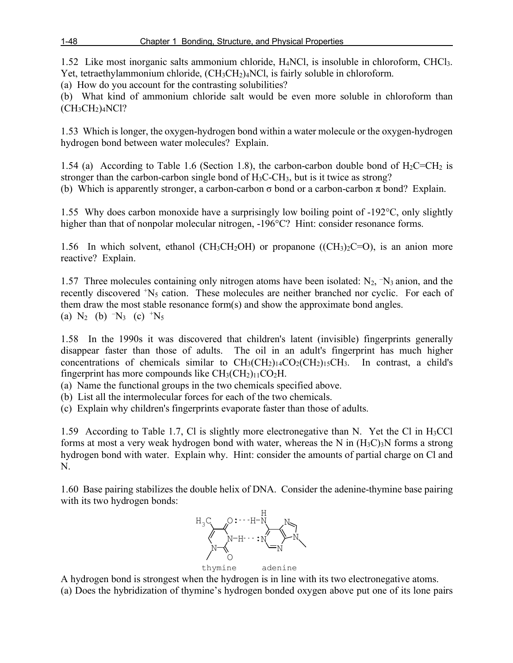1.52 Like most inorganic salts ammonium chloride, H4NCl, is insoluble in chloroform, CHCl3. Yet, tetraethylammonium chloride,  $(CH_3CH_2)_4NCl$ , is fairly soluble in chloroform.

(a) How do you account for the contrasting solubilities?

(b) What kind of ammonium chloride salt would be even more soluble in chloroform than  $(CH_3CH_2)_4NCl?$ 

1.53 Which is longer, the oxygen-hydrogen bond within a water molecule or the oxygen-hydrogen hydrogen bond between water molecules? Explain.

1.54 (a) According to Table 1.6 (Section 1.8), the carbon-carbon double bond of  $H_2C=CH_2$  is stronger than the carbon-carbon single bond of H3C-CH3, but is it twice as strong? (b) Which is apparently stronger, a carbon-carbon  $\sigma$  bond or a carbon-carbon  $\pi$  bond? Explain.

1.55 Why does carbon monoxide have a surprisingly low boiling point of -192°C, only slightly higher than that of nonpolar molecular nitrogen, -196 °C? Hint: consider resonance forms.

1.56 In which solvent, ethanol (CH<sub>3</sub>CH<sub>2</sub>OH) or propanone ((CH<sub>3</sub>)<sub>2</sub>C=O), is an anion more reactive? Explain.

1.57 Three molecules containing only nitrogen atoms have been isolated:  $N_2$ ,  $\neg N_3$  anion, and the recently discovered <sup>+</sup>N<sub>5</sub> cation. These molecules are neither branched nor cyclic. For each of them draw the most stable resonance form(s) and show the approximate bond angles. (a)  $N_2$  (b)  $-N_3$  (c)  $+N_5$ 

1.58 In the 1990s it was discovered that children's latent (invisible) fingerprints generally disappear faster than those of adults. The oil in an adult's fingerprint has much higher concentrations of chemicals similar to  $CH_3(CH_2)_{14}CO_2(CH_2)_{15}CH_3$ . In contrast, a child's fingerprint has more compounds like  $CH_3(CH_2)_{11}CO_2H$ .

(a) Name the functional groups in the two chemicals specified above.

(b) List all the intermolecular forces for each of the two chemicals.

(c) Explain why children's fingerprints evaporate faster than those of adults.

1.59 According to Table 1.7, Cl is slightly more electronegative than N. Yet the Cl in  $H_3$ CCl forms at most a very weak hydrogen bond with water, whereas the N in  $(H_3C)_3N$  forms a strong hydrogen bond with water. Explain why. Hint: consider the amounts of partial charge on Cl and N.

1.60 Base pairing stabilizes the double helix of DNA. Consider the adenine-thymine base pairing with its two hydrogen bonds:



A hydrogen bond is strongest when the hydrogen is in line with its two electronegative atoms. (a) Does the hybridization of thymine's hydrogen bonded oxygen above put one of its lone pairs